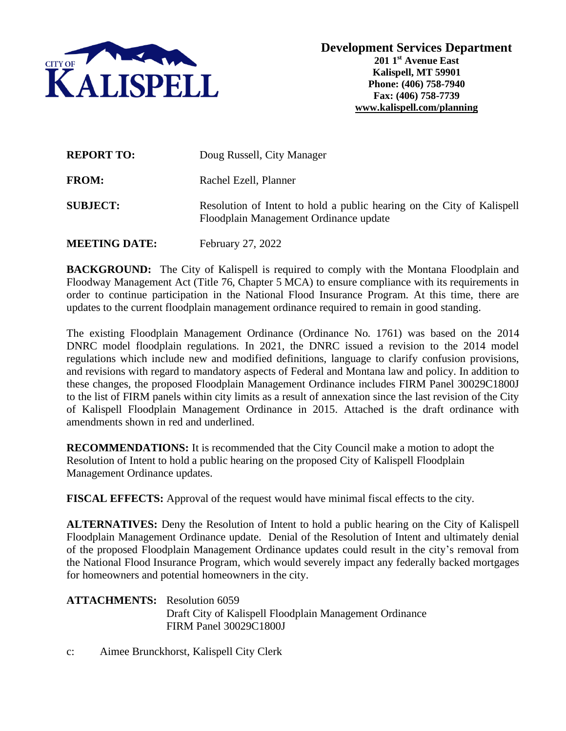

| <b>REPORT TO:</b>    | Doug Russell, City Manager                                                                                       |
|----------------------|------------------------------------------------------------------------------------------------------------------|
| <b>FROM:</b>         | Rachel Ezell, Planner                                                                                            |
| <b>SUBJECT:</b>      | Resolution of Intent to hold a public hearing on the City of Kalispell<br>Floodplain Management Ordinance update |
| <b>MEETING DATE:</b> | February 27, 2022                                                                                                |

**BACKGROUND:** The City of Kalispell is required to comply with the Montana Floodplain and Floodway Management Act (Title 76, Chapter 5 MCA) to ensure compliance with its requirements in order to continue participation in the National Flood Insurance Program. At this time, there are updates to the current floodplain management ordinance required to remain in good standing.

The existing Floodplain Management Ordinance (Ordinance No. 1761) was based on the 2014 DNRC model floodplain regulations. In 2021, the DNRC issued a revision to the 2014 model regulations which include new and modified definitions, language to clarify confusion provisions, and revisions with regard to mandatory aspects of Federal and Montana law and policy. In addition to these changes, the proposed Floodplain Management Ordinance includes FIRM Panel 30029C1800J to the list of FIRM panels within city limits as a result of annexation since the last revision of the City of Kalispell Floodplain Management Ordinance in 2015. Attached is the draft ordinance with amendments shown in red and underlined.

**RECOMMENDATIONS:** It is recommended that the City Council make a motion to adopt the Resolution of Intent to hold a public hearing on the proposed City of Kalispell Floodplain Management Ordinance updates.

**FISCAL EFFECTS:** Approval of the request would have minimal fiscal effects to the city.

**ALTERNATIVES:** Deny the Resolution of Intent to hold a public hearing on the City of Kalispell Floodplain Management Ordinance update. Denial of the Resolution of Intent and ultimately denial of the proposed Floodplain Management Ordinance updates could result in the city's removal from the National Flood Insurance Program, which would severely impact any federally backed mortgages for homeowners and potential homeowners in the city.

**ATTACHMENTS:** Resolution 6059 Draft City of Kalispell Floodplain Management Ordinance FIRM Panel 30029C1800J

c: Aimee Brunckhorst, Kalispell City Clerk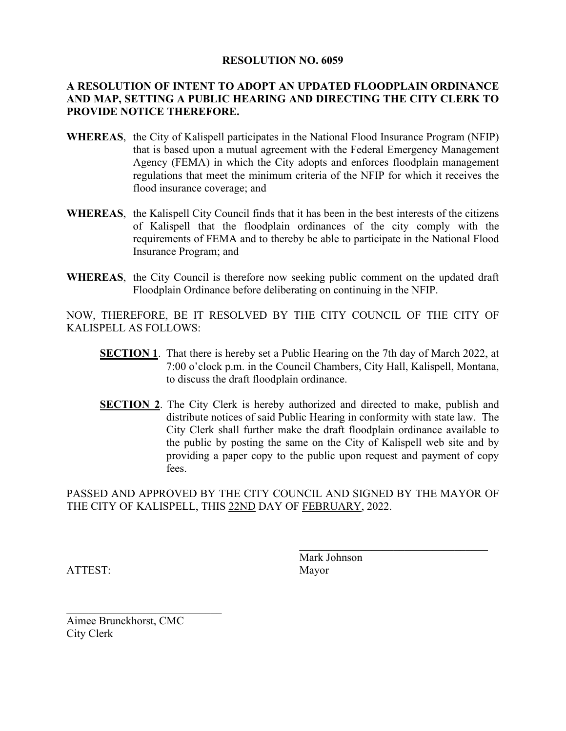## **RESOLUTION NO. 6059**

## **A RESOLUTION OF INTENT TO ADOPT AN UPDATED FLOODPLAIN ORDINANCE AND MAP, SETTING A PUBLIC HEARING AND DIRECTING THE CITY CLERK TO PROVIDE NOTICE THEREFORE.**

- **WHEREAS**, the City of Kalispell participates in the National Flood Insurance Program (NFIP) that is based upon a mutual agreement with the Federal Emergency Management Agency (FEMA) in which the City adopts and enforces floodplain management regulations that meet the minimum criteria of the NFIP for which it receives the flood insurance coverage; and
- **WHEREAS**, the Kalispell City Council finds that it has been in the best interests of the citizens of Kalispell that the floodplain ordinances of the city comply with the requirements of FEMA and to thereby be able to participate in the National Flood Insurance Program; and
- **WHEREAS**, the City Council is therefore now seeking public comment on the updated draft Floodplain Ordinance before deliberating on continuing in the NFIP.

NOW, THEREFORE, BE IT RESOLVED BY THE CITY COUNCIL OF THE CITY OF KALISPELL AS FOLLOWS:

- **SECTION 1.** That there is hereby set a Public Hearing on the 7th day of March 2022, at 7:00 o'clock p.m. in the Council Chambers, City Hall, Kalispell, Montana, to discuss the draft floodplain ordinance.
- **SECTION 2**. The City Clerk is hereby authorized and directed to make, publish and distribute notices of said Public Hearing in conformity with state law. The City Clerk shall further make the draft floodplain ordinance available to the public by posting the same on the City of Kalispell web site and by providing a paper copy to the public upon request and payment of copy fees.

PASSED AND APPROVED BY THE CITY COUNCIL AND SIGNED BY THE MAYOR OF THE CITY OF KALISPELL, THIS 22ND DAY OF FEBRUARY, 2022.

ATTEST: Mayor

Mark Johnson

 $\mathcal{L}_\mathcal{L}$ 

Aimee Brunckhorst, CMC City Clerk

 $\mathcal{L}_\mathcal{L}$  , which is a set of the set of the set of the set of the set of the set of the set of the set of the set of the set of the set of the set of the set of the set of the set of the set of the set of the set of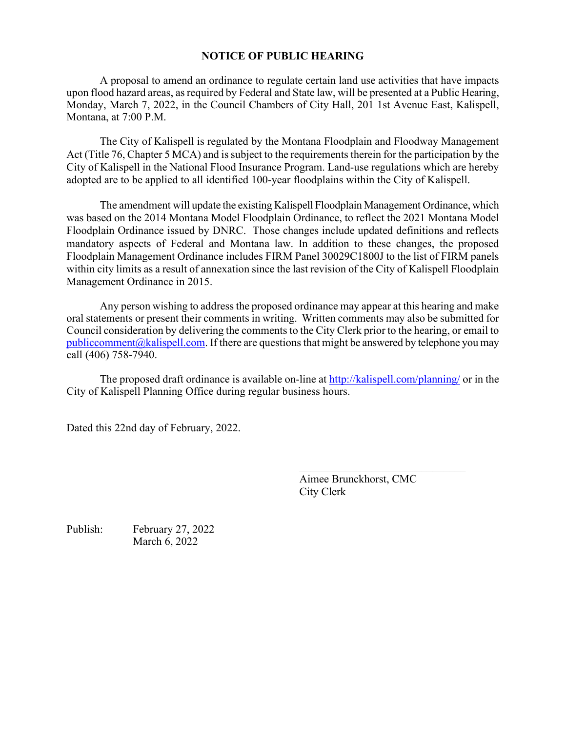## **NOTICE OF PUBLIC HEARING**

A proposal to amend an ordinance to regulate certain land use activities that have impacts upon flood hazard areas, as required by Federal and State law, will be presented at a Public Hearing, Monday, March 7, 2022, in the Council Chambers of City Hall, 201 1st Avenue East, Kalispell, Montana, at 7:00 P.M.

The City of Kalispell is regulated by the Montana Floodplain and Floodway Management Act (Title 76, Chapter 5 MCA) and is subject to the requirements therein for the participation by the City of Kalispell in the National Flood Insurance Program. Land-use regulations which are hereby adopted are to be applied to all identified 100-year floodplains within the City of Kalispell.

The amendment will update the existing Kalispell Floodplain Management Ordinance, which was based on the 2014 Montana Model Floodplain Ordinance, to reflect the 2021 Montana Model Floodplain Ordinance issued by DNRC. Those changes include updated definitions and reflects mandatory aspects of Federal and Montana law. In addition to these changes, the proposed Floodplain Management Ordinance includes FIRM Panel 30029C1800J to the list of FIRM panels within city limits as a result of annexation since the last revision of the City of Kalispell Floodplain Management Ordinance in 2015.

Any person wishing to address the proposed ordinance may appear at this hearing and make oral statements or present their comments in writing. Written comments may also be submitted for Council consideration by delivering the comments to the City Clerk prior to the hearing, or email to  $public comment@kalispell.com.$  If there are questions that might be answered by telephone you may call (406) 758-7940.

The proposed draft ordinance is available on-line at<http://kalispell.com/planning/> or in the City of Kalispell Planning Office during regular business hours.

Dated this 22nd day of February, 2022.

Aimee Brunckhorst, CMC City Clerk

\_\_\_\_\_\_\_\_\_\_\_\_\_\_\_\_\_\_\_\_\_\_\_\_\_\_\_\_\_\_

Publish: February 27, 2022 March 6, 2022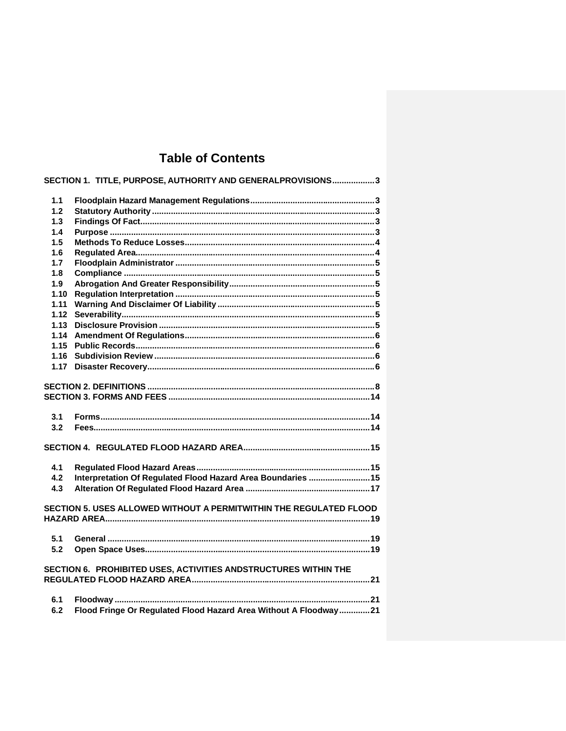# **Table of Contents**

|            | SECTION 1. TITLE, PURPOSE, AUTHORITY AND GENERALPROVISIONS3        |
|------------|--------------------------------------------------------------------|
| 1.1        |                                                                    |
| 1.2        |                                                                    |
| 1.3        |                                                                    |
| 1.4        |                                                                    |
| 1.5        |                                                                    |
| 1.6        |                                                                    |
| 1.7        |                                                                    |
| 1.8        |                                                                    |
| 1.9        |                                                                    |
| 1.10       |                                                                    |
| 1.11       |                                                                    |
| 1.12       |                                                                    |
| 1.13       |                                                                    |
| 1.14       |                                                                    |
| 1.15       |                                                                    |
| 1.16       |                                                                    |
| 1.17       |                                                                    |
|            |                                                                    |
|            |                                                                    |
|            |                                                                    |
|            |                                                                    |
| 3.1<br>3.2 |                                                                    |
|            |                                                                    |
|            |                                                                    |
| 4.1        |                                                                    |
| 4.2        | Interpretation Of Regulated Flood Hazard Area Boundaries  15       |
| 4.3        |                                                                    |
|            |                                                                    |
|            | SECTION 5. USES ALLOWED WITHOUT A PERMITWITHIN THE REGULATED FLOOD |
|            |                                                                    |
| 5.1        |                                                                    |
| 5.2        |                                                                    |
|            |                                                                    |
|            | SECTION 6. PROHIBITED USES, ACTIVITIES ANDSTRUCTURES WITHIN THE    |
|            |                                                                    |
|            |                                                                    |
| 6.1        |                                                                    |
| 6.2        | Flood Fringe Or Regulated Flood Hazard Area Without A Floodway21   |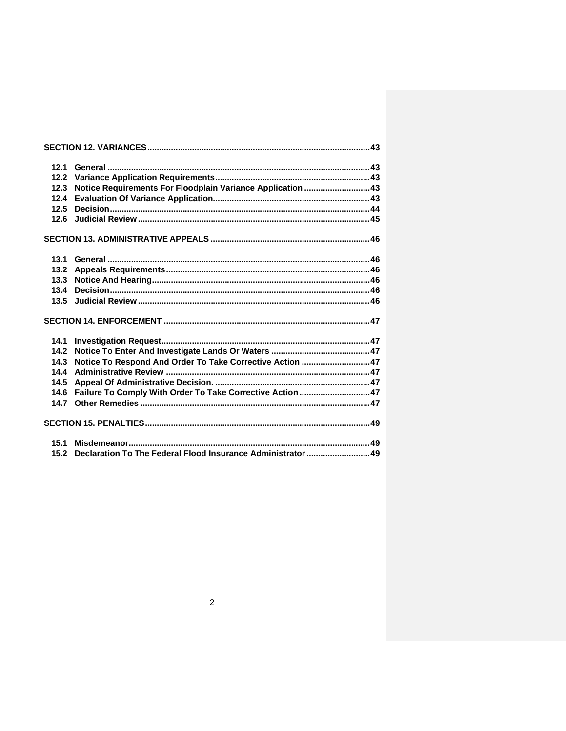| 12.1 |                                                                  |  |
|------|------------------------------------------------------------------|--|
| 12.2 |                                                                  |  |
| 12.3 | Notice Requirements For Floodplain Variance Application 43       |  |
| 12.4 |                                                                  |  |
| 12.5 |                                                                  |  |
| 12.6 |                                                                  |  |
|      |                                                                  |  |
| 13.1 |                                                                  |  |
|      |                                                                  |  |
| 13.3 |                                                                  |  |
| 13.4 |                                                                  |  |
|      |                                                                  |  |
|      |                                                                  |  |
| 14.1 |                                                                  |  |
|      |                                                                  |  |
| 14.3 | Notice To Respond And Order To Take Corrective Action 47         |  |
| 14.4 |                                                                  |  |
| 14.5 |                                                                  |  |
|      | 14.6 Failure To Comply With Order To Take Corrective Action  47  |  |
|      |                                                                  |  |
|      |                                                                  |  |
| 15.1 |                                                                  |  |
|      | 15.2 Declaration To The Federal Flood Insurance Administrator 49 |  |
|      |                                                                  |  |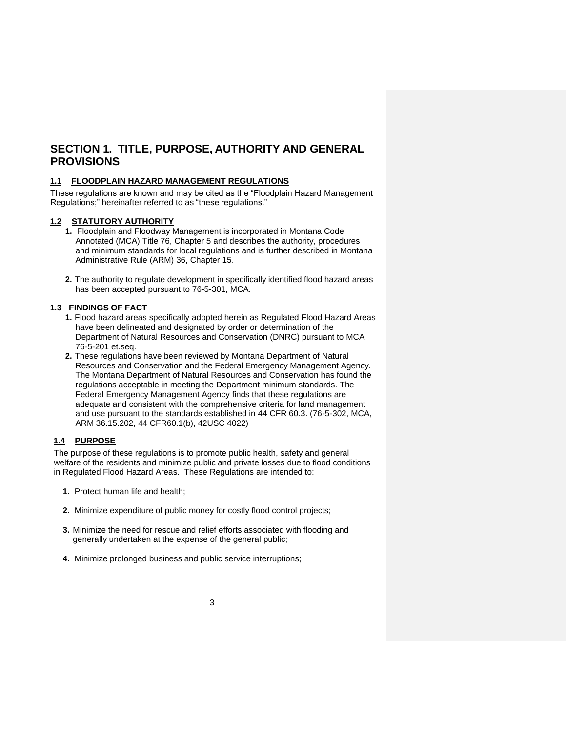## **SECTION 1. TITLE, PURPOSE, AUTHORITY AND GENERAL PROVISIONS**

#### **1.1 FLOODPLAIN HAZARD MANAGEMENT REGULATIONS**

These regulations are known and may be cited as the "Floodplain Hazard Management Regulations;" hereinafter referred to as "these regulations."

#### **1.2 STATUTORY AUTHORITY**

- **1.** Floodplain and Floodway Management is incorporated in Montana Code Annotated (MCA) Title 76, Chapter 5 and describes the authority, procedures and minimum standards for local regulations and is further described in Montana Administrative Rule (ARM) 36, Chapter 15.
- **2.** The authority to regulate development in specifically identified flood hazard areas has been accepted pursuant to 76-5-301, MCA.

## **1.3 FINDINGS OF FACT**

- **1.** Flood hazard areas specifically adopted herein as Regulated Flood Hazard Areas have been delineated and designated by order or determination of the Department of Natural Resources and Conservation (DNRC) pursuant to MCA 76-5-201 et.seq.
- **2.** These regulations have been reviewed by Montana Department of Natural Resources and Conservation and the Federal Emergency Management Agency. The Montana Department of Natural Resources and Conservation has found the regulations acceptable in meeting the Department minimum standards. The Federal Emergency Management Agency finds that these regulations are adequate and consistent with the comprehensive criteria for land management and use pursuant to the standards established in 44 CFR 60.3. (76-5-302, MCA, ARM 36.15.202, 44 CFR60.1(b), 42USC 4022)

#### **1.4 PURPOSE**

The purpose of these regulations is to promote public health, safety and general welfare of the residents and minimize public and private losses due to flood conditions in Regulated Flood Hazard Areas. These Regulations are intended to:

- **1.** Protect human life and health;
- **2.** Minimize expenditure of public money for costly flood control projects;
- **3.** Minimize the need for rescue and relief efforts associated with flooding and generally undertaken at the expense of the general public;
- **4.** Minimize prolonged business and public service interruptions;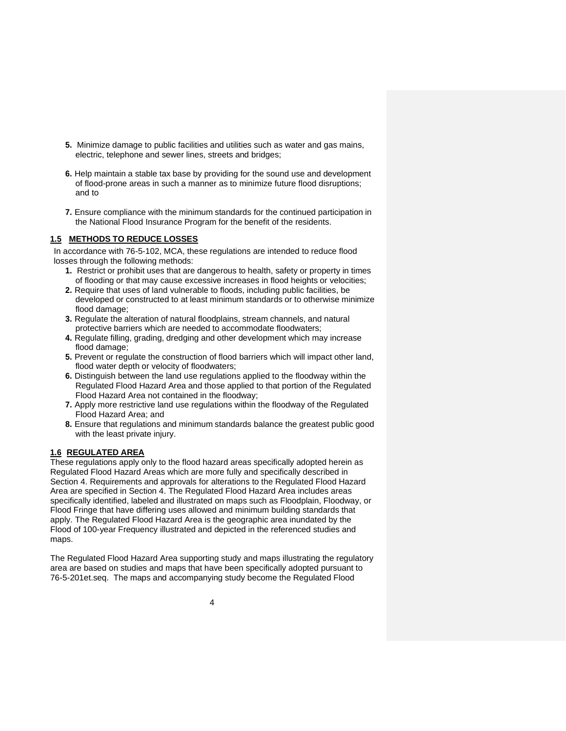- **5.** Minimize damage to public facilities and utilities such as water and gas mains, electric, telephone and sewer lines, streets and bridges;
- **6.** Help maintain a stable tax base by providing for the sound use and development of flood-prone areas in such a manner as to minimize future flood disruptions; and to
- **7.** Ensure compliance with the minimum standards for the continued participation in the National Flood Insurance Program for the benefit of the residents.

#### **1.5 METHODS TO REDUCE LOSSES**

In accordance with 76-5-102, MCA, these regulations are intended to reduce flood losses through the following methods:

- **1.** Restrict or prohibit uses that are dangerous to health, safety or property in times of flooding or that may cause excessive increases in flood heights or velocities;
- **2.** Require that uses of land vulnerable to floods, including public facilities, be developed or constructed to at least minimum standards or to otherwise minimize flood damage:
- **3.** Regulate the alteration of natural floodplains, stream channels, and natural protective barriers which are needed to accommodate floodwaters;
- **4.** Regulate filling, grading, dredging and other development which may increase flood damage;
- **5.** Prevent or regulate the construction of flood barriers which will impact other land, flood water depth or velocity of floodwaters;
- **6.** Distinguish between the land use regulations applied to the floodway within the Regulated Flood Hazard Area and those applied to that portion of the Regulated Flood Hazard Area not contained in the floodway;
- **7.** Apply more restrictive land use regulations within the floodway of the Regulated Flood Hazard Area; and
- **8.** Ensure that regulations and minimum standards balance the greatest public good with the least private injury.

#### **1.6 REGULATED AREA**

These regulations apply only to the flood hazard areas specifically adopted herein as Regulated Flood Hazard Areas which are more fully and specifically described in Section 4. Requirements and approvals for alterations to the Regulated Flood Hazard Area are specified in Section 4. The Regulated Flood Hazard Area includes areas specifically identified, labeled and illustrated on maps such as Floodplain, Floodway, or Flood Fringe that have differing uses allowed and minimum building standards that apply. The Regulated Flood Hazard Area is the geographic area inundated by the Flood of 100-year Frequency illustrated and depicted in the referenced studies and maps.

The Regulated Flood Hazard Area supporting study and maps illustrating the regulatory area are based on studies and maps that have been specifically adopted pursuant to 76-5-201et.seq. The maps and accompanying study become the Regulated Flood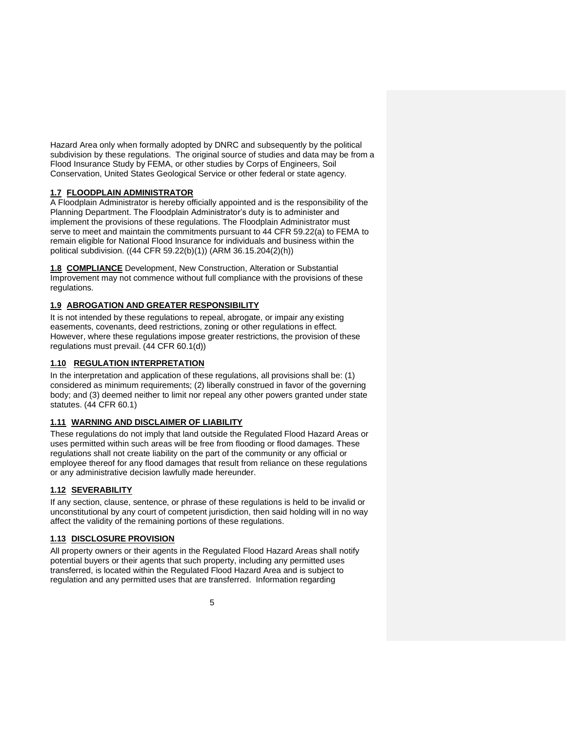Hazard Area only when formally adopted by DNRC and subsequently by the political subdivision by these regulations. The original source of studies and data may be from a Flood Insurance Study by FEMA, or other studies by Corps of Engineers, Soil Conservation, United States Geological Service or other federal or state agency.

### **1.7 FLOODPLAIN ADMINISTRATOR**

A Floodplain Administrator is hereby officially appointed and is the responsibility of the Planning Department. The Floodplain Administrator's duty is to administer and implement the provisions of these regulations. The Floodplain Administrator must serve to meet and maintain the commitments pursuant to 44 CFR 59.22(a) to FEMA to remain eligible for National Flood Insurance for individuals and business within the political subdivision. ((44 CFR 59.22(b)(1)) (ARM 36.15.204(2)(h))

**1.8 COMPLIANCE** Development, New Construction, Alteration or Substantial Improvement may not commence without full compliance with the provisions of these regulations.

### **1.9 ABROGATION AND GREATER RESPONSIBILITY**

It is not intended by these regulations to repeal, abrogate, or impair any existing easements, covenants, deed restrictions, zoning or other regulations in effect. However, where these regulations impose greater restrictions, the provision of these regulations must prevail. (44 CFR 60.1(d))

### **1.10 REGULATION INTERPRETATION**

In the interpretation and application of these regulations, all provisions shall be: (1) considered as minimum requirements; (2) liberally construed in favor of the governing body; and (3) deemed neither to limit nor repeal any other powers granted under state statutes. (44 CFR 60.1)

#### **1.11 WARNING AND DISCLAIMER OF LIABILITY**

These regulations do not imply that land outside the Regulated Flood Hazard Areas or uses permitted within such areas will be free from flooding or flood damages. These regulations shall not create liability on the part of the community or any official or employee thereof for any flood damages that result from reliance on these regulations or any administrative decision lawfully made hereunder.

### **1.12 SEVERABILITY**

If any section, clause, sentence, or phrase of these regulations is held to be invalid or unconstitutional by any court of competent jurisdiction, then said holding will in no way affect the validity of the remaining portions of these regulations.

### **1.13 DISCLOSURE PROVISION**

All property owners or their agents in the Regulated Flood Hazard Areas shall notify potential buyers or their agents that such property, including any permitted uses transferred, is located within the Regulated Flood Hazard Area and is subject to regulation and any permitted uses that are transferred. Information regarding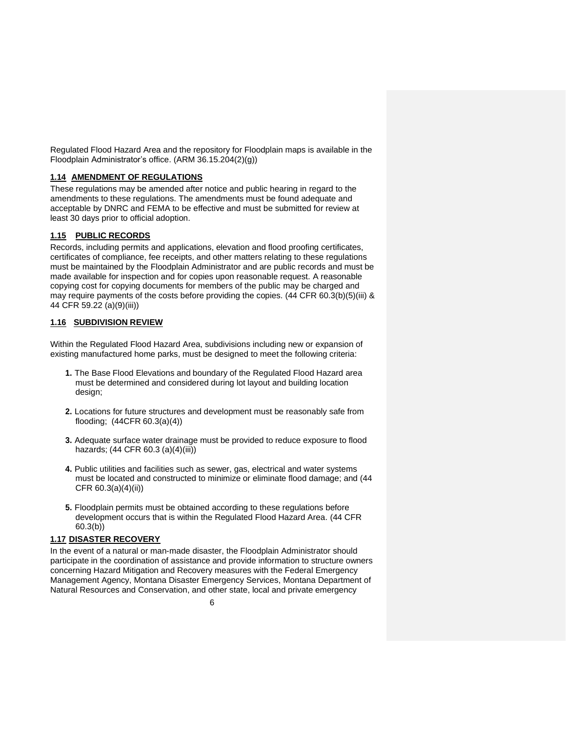Regulated Flood Hazard Area and the repository for Floodplain maps is available in the Floodplain Administrator's office. (ARM 36.15.204(2)(g))

#### **1.14 AMENDMENT OF REGULATIONS**

These regulations may be amended after notice and public hearing in regard to the amendments to these regulations. The amendments must be found adequate and acceptable by DNRC and FEMA to be effective and must be submitted for review at least 30 days prior to official adoption.

### **1.15 PUBLIC RECORDS**

Records, including permits and applications, elevation and flood proofing certificates, certificates of compliance, fee receipts, and other matters relating to these regulations must be maintained by the Floodplain Administrator and are public records and must be made available for inspection and for copies upon reasonable request. A reasonable copying cost for copying documents for members of the public may be charged and may require payments of the costs before providing the copies. (44 CFR 60.3(b)(5)(iii) & 44 CFR 59.22 (a)(9)(iii))

### **1.16 SUBDIVISION REVIEW**

Within the Regulated Flood Hazard Area, subdivisions including new or expansion of existing manufactured home parks, must be designed to meet the following criteria:

- **1.** The Base Flood Elevations and boundary of the Regulated Flood Hazard area must be determined and considered during lot layout and building location design;
- **2.** Locations for future structures and development must be reasonably safe from flooding; (44CFR 60.3(a)(4))
- **3.** Adequate surface water drainage must be provided to reduce exposure to flood hazards; (44 CFR 60.3 (a)(4)(iii))
- **4.** Public utilities and facilities such as sewer, gas, electrical and water systems must be located and constructed to minimize or eliminate flood damage; and (44 CFR 60.3(a)(4)(ii))
- **5.** Floodplain permits must be obtained according to these regulations before development occurs that is within the Regulated Flood Hazard Area. (44 CFR 60.3(b))

### **1.17 DISASTER RECOVERY**

In the event of a natural or man-made disaster, the Floodplain Administrator should participate in the coordination of assistance and provide information to structure owners concerning Hazard Mitigation and Recovery measures with the Federal Emergency Management Agency, Montana Disaster Emergency Services, Montana Department of Natural Resources and Conservation, and other state, local and private emergency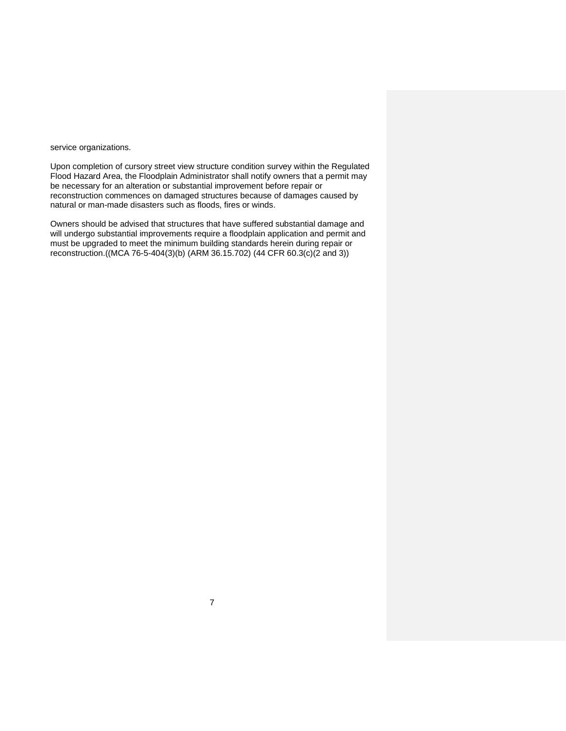service organizations.

Upon completion of cursory street view structure condition survey within the Regulated Flood Hazard Area, the Floodplain Administrator shall notify owners that a permit may be necessary for an alteration or substantial improvement before repair or reconstruction commences on damaged structures because of damages caused by natural or man-made disasters such as floods, fires or winds.

Owners should be advised that structures that have suffered substantial damage and will undergo substantial improvements require a floodplain application and permit and must be upgraded to meet the minimum building standards herein during repair or reconstruction.((MCA 76-5-404(3)(b) (ARM 36.15.702) (44 CFR 60.3(c)(2 and 3))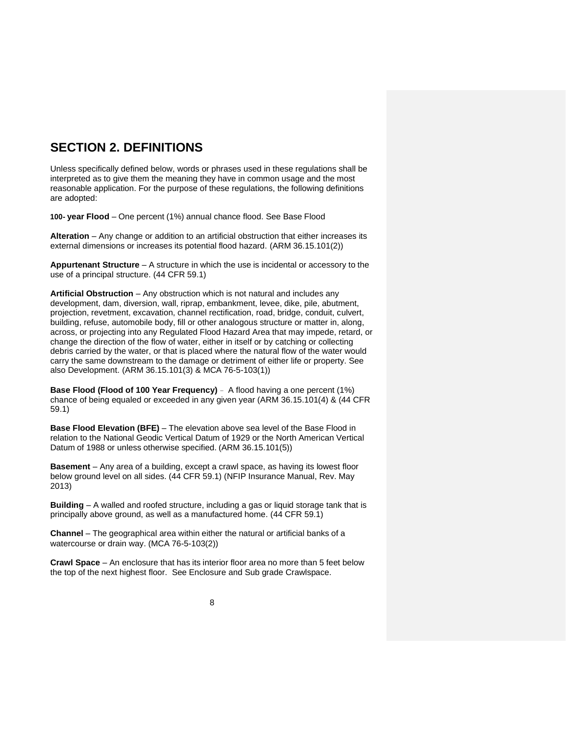## **SECTION 2. DEFINITIONS**

Unless specifically defined below, words or phrases used in these regulations shall be interpreted as to give them the meaning they have in common usage and the most reasonable application. For the purpose of these regulations, the following definitions are adopted:

**100- year Flood** – One percent (1%) annual chance flood. See Base Flood

**Alteration** – Any change or addition to an artificial obstruction that either increases its external dimensions or increases its potential flood hazard. (ARM 36.15.101(2))

**Appurtenant Structure** – A structure in which the use is incidental or accessory to the use of a principal structure. (44 CFR 59.1)

**Artificial Obstruction** – Any obstruction which is not natural and includes any development, dam, diversion, wall, riprap, embankment, levee, dike, pile, abutment, projection, revetment, excavation, channel rectification, road, bridge, conduit, culvert, building, refuse, automobile body, fill or other analogous structure or matter in, along, across, or projecting into any Regulated Flood Hazard Area that may impede, retard, or change the direction of the flow of water, either in itself or by catching or collecting debris carried by the water, or that is placed where the natural flow of the water would carry the same downstream to the damage or detriment of either life or property. See also Development. (ARM 36.15.101(3) & MCA 76-5-103(1))

**Base Flood (Flood of 100 Year Frequency)** – A flood having a one percent (1%) chance of being equaled or exceeded in any given year (ARM 36.15.101(4) & (44 CFR 59.1)

**Base Flood Elevation (BFE)** – The elevation above sea level of the Base Flood in relation to the National Geodic Vertical Datum of 1929 or the North American Vertical Datum of 1988 or unless otherwise specified. (ARM 36.15.101(5))

**Basement** – Any area of a building, except a crawl space, as having its lowest floor below ground level on all sides. (44 CFR 59.1) (NFIP Insurance Manual, Rev. May 2013)

**Building** – A walled and roofed structure, including a gas or liquid storage tank that is principally above ground, as well as a manufactured home. (44 CFR 59.1)

**Channel** – The geographical area within either the natural or artificial banks of a watercourse or drain way. (MCA 76-5-103(2))

**Crawl Space** – An enclosure that has its interior floor area no more than 5 feet below the top of the next highest floor. See Enclosure and Sub grade Crawlspace.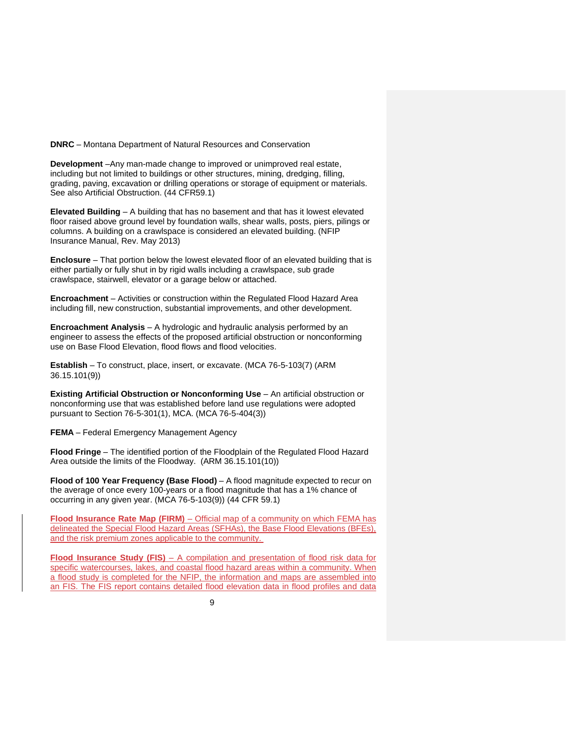**DNRC** – Montana Department of Natural Resources and Conservation

**Development** –Any man-made change to improved or unimproved real estate, including but not limited to buildings or other structures, mining, dredging, filling, grading, paving, excavation or drilling operations or storage of equipment or materials. See also Artificial Obstruction. (44 CFR59.1)

**Elevated Building** – A building that has no basement and that has it lowest elevated floor raised above ground level by foundation walls, shear walls, posts, piers, pilings or columns. A building on a crawlspace is considered an elevated building. (NFIP Insurance Manual, Rev. May 2013)

**Enclosure** – That portion below the lowest elevated floor of an elevated building that is either partially or fully shut in by rigid walls including a crawlspace, sub grade crawlspace, stairwell, elevator or a garage below or attached.

**Encroachment** – Activities or construction within the Regulated Flood Hazard Area including fill, new construction, substantial improvements, and other development.

**Encroachment Analysis** – A hydrologic and hydraulic analysis performed by an engineer to assess the effects of the proposed artificial obstruction or nonconforming use on Base Flood Elevation, flood flows and flood velocities.

**Establish** – To construct, place, insert, or excavate. (MCA 76-5-103(7) (ARM 36.15.101(9))

**Existing Artificial Obstruction or Nonconforming Use** – An artificial obstruction or nonconforming use that was established before land use regulations were adopted pursuant to Section 76-5-301(1), MCA. (MCA 76-5-404(3))

**FEMA** – Federal Emergency Management Agency

**Flood Fringe** – The identified portion of the Floodplain of the Regulated Flood Hazard Area outside the limits of the Floodway. (ARM 36.15.101(10))

**Flood of 100 Year Frequency (Base Flood)** – A flood magnitude expected to recur on the average of once every 100-years or a flood magnitude that has a 1% chance of occurring in any given year. (MCA 76-5-103(9)) (44 CFR 59.1)

**Flood Insurance Rate Map (FIRM)** – Official map of a community on which FEMA has delineated the Special Flood Hazard Areas (SFHAs), the Base Flood Elevations (BFEs), and the risk premium zones applicable to the community.

**Flood Insurance Study (FIS)** – A compilation and presentation of flood risk data for specific watercourses, lakes, and coastal flood hazard areas within a community. When a flood study is completed for the NFIP, the information and maps are assembled into an FIS. The FIS report contains detailed flood elevation data in flood profiles and data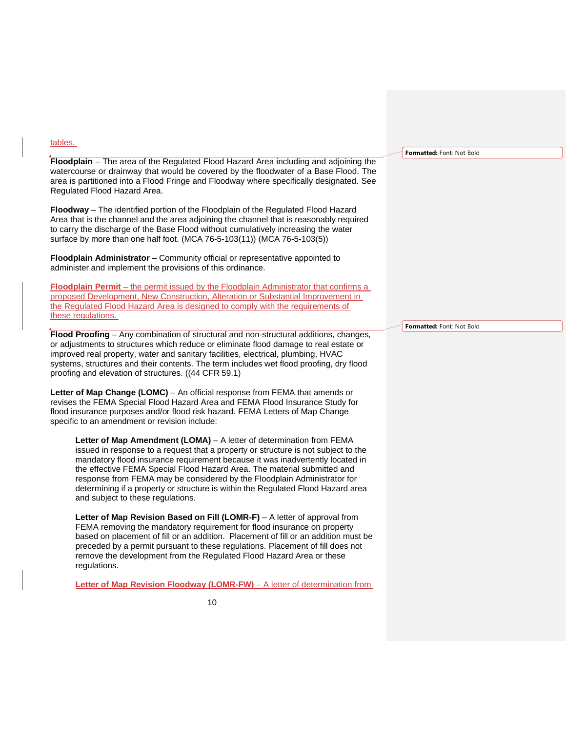| tables.                                                                                                                                                                                                                                                                                                                                                                                                                                                                                                                             |                           |
|-------------------------------------------------------------------------------------------------------------------------------------------------------------------------------------------------------------------------------------------------------------------------------------------------------------------------------------------------------------------------------------------------------------------------------------------------------------------------------------------------------------------------------------|---------------------------|
|                                                                                                                                                                                                                                                                                                                                                                                                                                                                                                                                     | Formatted: Font: Not Bold |
| Floodplain - The area of the Regulated Flood Hazard Area including and adjoining the<br>watercourse or drainway that would be covered by the floodwater of a Base Flood. The<br>area is partitioned into a Flood Fringe and Floodway where specifically designated. See<br>Regulated Flood Hazard Area.                                                                                                                                                                                                                             |                           |
| <b>Floodway</b> – The identified portion of the Floodplain of the Regulated Flood Hazard<br>Area that is the channel and the area adjoining the channel that is reasonably required<br>to carry the discharge of the Base Flood without cumulatively increasing the water<br>surface by more than one half foot. (MCA 76-5-103(11)) (MCA 76-5-103(5))                                                                                                                                                                               |                           |
| Floodplain Administrator – Community official or representative appointed to<br>administer and implement the provisions of this ordinance.                                                                                                                                                                                                                                                                                                                                                                                          |                           |
| <b>Floodplain Permit</b> – the permit issued by the Floodplain Administrator that confirms a<br>proposed Development, New Construction, Alteration or Substantial Improvement in<br>the Regulated Flood Hazard Area is designed to comply with the requirements of<br>these regulations.                                                                                                                                                                                                                                            | Formatted: Font: Not Bold |
| Flood Proofing - Any combination of structural and non-structural additions, changes,<br>or adjustments to structures which reduce or eliminate flood damage to real estate or<br>improved real property, water and sanitary facilities, electrical, plumbing, HVAC<br>systems, structures and their contents. The term includes wet flood proofing, dry flood<br>proofing and elevation of structures. ((44 CFR 59.1)                                                                                                              |                           |
| Letter of Map Change (LOMC) – An official response from FEMA that amends or<br>revises the FEMA Special Flood Hazard Area and FEMA Flood Insurance Study for<br>flood insurance purposes and/or flood risk hazard. FEMA Letters of Map Change<br>specific to an amendment or revision include:                                                                                                                                                                                                                                      |                           |
| <b>Letter of Map Amendment (LOMA)</b> – A letter of determination from FEMA<br>issued in response to a request that a property or structure is not subject to the<br>mandatory flood insurance requirement because it was inadvertently located in<br>the effective FEMA Special Flood Hazard Area. The material submitted and<br>response from FEMA may be considered by the Floodplain Administrator for<br>determining if a property or structure is within the Regulated Flood Hazard area<br>and subject to these regulations. |                           |

Letter of Map Revision Based on Fill (LOMR-F) - A letter of approval from FEMA removing the mandatory requirement for flood insurance on property based on placement of fill or an addition. Placement of fill or an addition must be preceded by a permit pursuant to these regulations. Placement of fill does not remove the development from the Regulated Flood Hazard Area or these regulations.

**Letter of Map Revision Floodway (LOMR-FW)** – A letter of determination from

10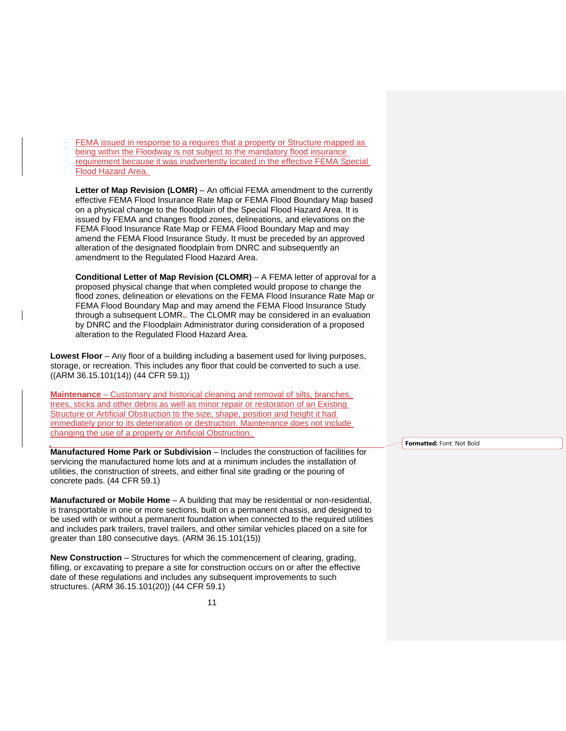FEMA issued in response to a requires that a property or Structure mapped as being within the Floodway is not subject to the mandatory flood insurance requirement because it was inadvertently located in the effective FEMA Special Flood Hazard Area.

Letter of Map Revision (LOMR) – An official FEMA amendment to the currently effective FEMA Flood Insurance Rate Map or FEMA Flood Boundary Map based on a physical change to the floodplain of the Special Flood Hazard Area. It is issued by FEMA and changes flood zones, delineations, and elevations on the FEMA Flood Insurance Rate Map or FEMA Flood Boundary Map and may amend the FEMA Flood Insurance Study. It must be preceded by an approved alteration of the designated floodplain from DNRC and subsequently an amendment to the Regulated Flood Hazard Area.

**Conditional Letter of Map Revision (CLOMR)** – A FEMA letter of approval for a proposed physical change that when completed would propose to change the flood zones, delineation or elevations on the FEMA Flood Insurance Rate Map or FEMA Flood Boundary Map and may amend the FEMA Flood Insurance Study through a subsequent LOMR<sub>7</sub>. The CLOMR may be considered in an evaluation by DNRC and the Floodplain Administrator during consideration of a proposed alteration to the Regulated Flood Hazard Area.

**Lowest Floor** – Any floor of a building including a basement used for living purposes, storage, or recreation. This includes any floor that could be converted to such a use. ((ARM 36.15.101(14)) (44 CFR 59.1))

**Maintenance** – Customary and historical cleaning and removal of silts, branches, trees, sticks and other debris as well as minor repair or restoration of an Existing Structure or Artificial Obstruction to the size, shape, position and height it had immediately prior to its deterioration or destruction. Maintenance does not include changing the use of a property or Artificial Obstruction.

**Manufactured Home Park or Subdivision** – Includes the construction of facilities for servicing the manufactured home lots and at a minimum includes the installation of utilities, the construction of streets, and either final site grading or the pouring of concrete pads. (44 CFR 59.1)

**Manufactured or Mobile Home** – A building that may be residential or non-residential, is transportable in one or more sections, built on a permanent chassis, and designed to be used with or without a permanent foundation when connected to the required utilities and includes park trailers, travel trailers, and other similar vehicles placed on a site for greater than 180 consecutive days. (ARM 36.15.101(15))

**New Construction** – Structures for which the commencement of clearing, grading, filling, or excavating to prepare a site for construction occurs on or after the effective date of these regulations and includes any subsequent improvements to such structures. (ARM 36.15.101(20)) (44 CFR 59.1)

**Formatted:** Font: Not Bold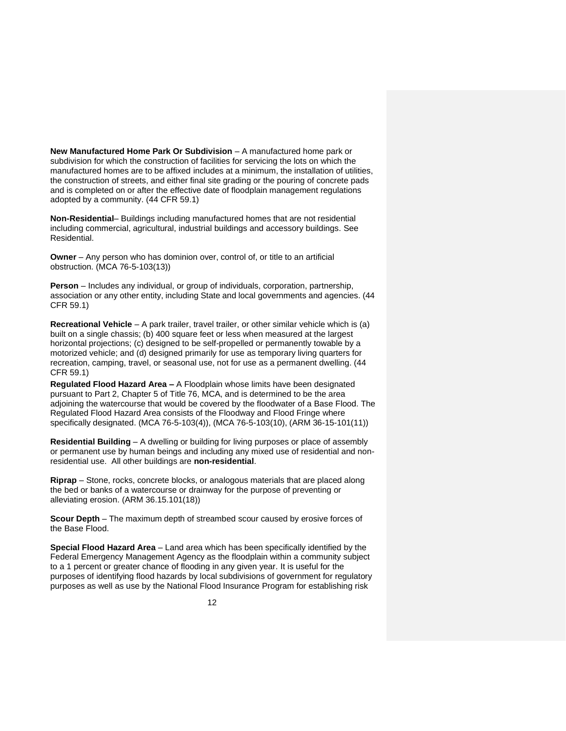**New Manufactured Home Park Or Subdivision** – A manufactured home park or subdivision for which the construction of facilities for servicing the lots on which the manufactured homes are to be affixed includes at a minimum, the installation of utilities, the construction of streets, and either final site grading or the pouring of concrete pads and is completed on or after the effective date of floodplain management regulations adopted by a community. (44 CFR 59.1)

**Non-Residential**– Buildings including manufactured homes that are not residential including commercial, agricultural, industrial buildings and accessory buildings. See Residential.

**Owner** – Any person who has dominion over, control of, or title to an artificial obstruction. (MCA 76-5-103(13))

**Person** – Includes any individual, or group of individuals, corporation, partnership, association or any other entity, including State and local governments and agencies. (44 CFR 59.1)

**Recreational Vehicle** – A park trailer, travel trailer, or other similar vehicle which is (a) built on a single chassis; (b) 400 square feet or less when measured at the largest horizontal projections; (c) designed to be self-propelled or permanently towable by a motorized vehicle; and (d) designed primarily for use as temporary living quarters for recreation, camping, travel, or seasonal use, not for use as a permanent dwelling. (44 CFR 59.1)

**Regulated Flood Hazard Area –** A Floodplain whose limits have been designated pursuant to Part 2, Chapter 5 of Title 76, MCA, and is determined to be the area adjoining the watercourse that would be covered by the floodwater of a Base Flood. The Regulated Flood Hazard Area consists of the Floodway and Flood Fringe where specifically designated. (MCA 76-5-103(4)), (MCA 76-5-103(10), (ARM 36-15-101(11))

**Residential Building** – A dwelling or building for living purposes or place of assembly or permanent use by human beings and including any mixed use of residential and nonresidential use. All other buildings are **non-residential**.

**Riprap** – Stone, rocks, concrete blocks, or analogous materials that are placed along the bed or banks of a watercourse or drainway for the purpose of preventing or alleviating erosion. (ARM 36.15.101(18))

**Scour Depth** – The maximum depth of streambed scour caused by erosive forces of the Base Flood.

**Special Flood Hazard Area** – Land area which has been specifically identified by the Federal Emergency Management Agency as the floodplain within a community subject to a 1 percent or greater chance of flooding in any given year. It is useful for the purposes of identifying flood hazards by local subdivisions of government for regulatory purposes as well as use by the National Flood Insurance Program for establishing risk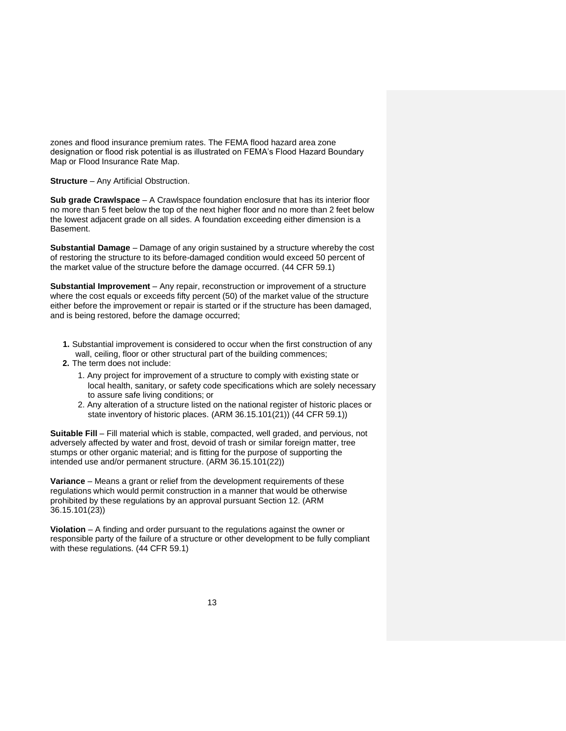zones and flood insurance premium rates. The FEMA flood hazard area zone designation or flood risk potential is as illustrated on FEMA's Flood Hazard Boundary Map or Flood Insurance Rate Map.

#### **Structure** – Any Artificial Obstruction.

**Sub grade Crawlspace** – A Crawlspace foundation enclosure that has its interior floor no more than 5 feet below the top of the next higher floor and no more than 2 feet below the lowest adjacent grade on all sides. A foundation exceeding either dimension is a Basement.

**Substantial Damage** – Damage of any origin sustained by a structure whereby the cost of restoring the structure to its before-damaged condition would exceed 50 percent of the market value of the structure before the damage occurred. (44 CFR 59.1)

**Substantial Improvement** – Any repair, reconstruction or improvement of a structure where the cost equals or exceeds fifty percent (50) of the market value of the structure either before the improvement or repair is started or if the structure has been damaged, and is being restored, before the damage occurred;

- **1.** Substantial improvement is considered to occur when the first construction of any wall, ceiling, floor or other structural part of the building commences;
- **2.** The term does not include:
	- 1. Any project for improvement of a structure to comply with existing state or local health, sanitary, or safety code specifications which are solely necessary to assure safe living conditions; or
	- 2. Any alteration of a structure listed on the national register of historic places or state inventory of historic places. (ARM 36.15.101(21)) (44 CFR 59.1))

**Suitable Fill** – Fill material which is stable, compacted, well graded, and pervious, not adversely affected by water and frost, devoid of trash or similar foreign matter, tree stumps or other organic material; and is fitting for the purpose of supporting the intended use and/or permanent structure. (ARM 36.15.101(22))

**Variance** – Means a grant or relief from the development requirements of these regulations which would permit construction in a manner that would be otherwise prohibited by these regulations by an approval pursuant Section 12. (ARM 36.15.101(23))

**Violation** – A finding and order pursuant to the regulations against the owner or responsible party of the failure of a structure or other development to be fully compliant with these regulations. (44 CFR 59.1)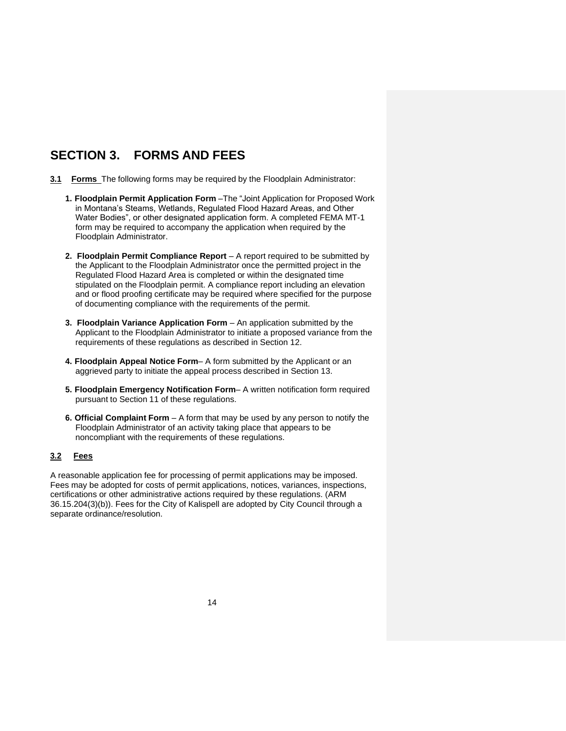# **SECTION 3. FORMS AND FEES**

- **3.1 Forms** The following forms may be required by the Floodplain Administrator:
	- **1. Floodplain Permit Application Form** –The "Joint Application for Proposed Work in Montana's Steams, Wetlands, Regulated Flood Hazard Areas, and Other Water Bodies", or other designated application form. A completed FEMA MT-1 form may be required to accompany the application when required by the Floodplain Administrator.
	- **2. Floodplain Permit Compliance Report**  A report required to be submitted by the Applicant to the Floodplain Administrator once the permitted project in the Regulated Flood Hazard Area is completed or within the designated time stipulated on the Floodplain permit. A compliance report including an elevation and or flood proofing certificate may be required where specified for the purpose of documenting compliance with the requirements of the permit.
	- **3. Floodplain Variance Application Form** An application submitted by the Applicant to the Floodplain Administrator to initiate a proposed variance from the requirements of these regulations as described in Section 12.
	- **4. Floodplain Appeal Notice Form** A form submitted by the Applicant or an aggrieved party to initiate the appeal process described in Section 13.
	- **5. Floodplain Emergency Notification Form** A written notification form required pursuant to Section 11 of these regulations.
	- **6. Official Complaint Form**  A form that may be used by any person to notify the Floodplain Administrator of an activity taking place that appears to be noncompliant with the requirements of these regulations.

### **3.2 Fees**

A reasonable application fee for processing of permit applications may be imposed. Fees may be adopted for costs of permit applications, notices, variances, inspections, certifications or other administrative actions required by these regulations. (ARM 36.15.204(3)(b)). Fees for the City of Kalispell are adopted by City Council through a separate ordinance/resolution.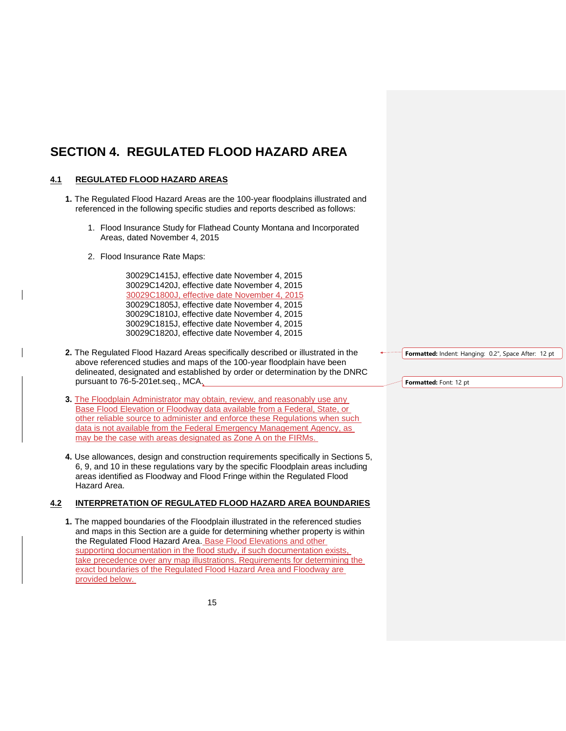# **SECTION 4. REGULATED FLOOD HAZARD AREA**

### **4.1 REGULATED FLOOD HAZARD AREAS**

- **1.** The Regulated Flood Hazard Areas are the 100-year floodplains illustrated and referenced in the following specific studies and reports described as follows:
	- 1. Flood Insurance Study for Flathead County Montana and Incorporated Areas, dated November 4, 2015
	- 2. Flood Insurance Rate Maps:

30029C1415J, effective date November 4, 2015 30029C1420J, effective date November 4, 2015 30029C1800J, effective date November 4, 2015 30029C1805J, effective date November 4, 2015 30029C1810J, effective date November 4, 2015 30029C1815J, effective date November 4, 2015 30029C1820J, effective date November 4, 2015

- **2.** The Regulated Flood Hazard Areas specifically described or illustrated in the above referenced studies and maps of the 100-year floodplain have been delineated, designated and established by order or determination by the DNRC pursuant to 76-5-201et.seq., MCA.
- **3.** The Floodplain Administrator may obtain, review, and reasonably use any Base Flood Elevation or Floodway data available from a Federal, State, or other reliable source to administer and enforce these Regulations when such data is not available from the Federal Emergency Management Agency, as may be the case with areas designated as Zone A on the FIRMs.
- **4.** Use allowances, design and construction requirements specifically in Sections 5, 6, 9, and 10 in these regulations vary by the specific Floodplain areas including areas identified as Floodway and Flood Fringe within the Regulated Flood Hazard Area.

### **4.2 INTERPRETATION OF REGULATED FLOOD HAZARD AREA BOUNDARIES**

**1.** The mapped boundaries of the Floodplain illustrated in the referenced studies and maps in this Section are a guide for determining whether property is within the Regulated Flood Hazard Area. Base Flood Elevations and other supporting documentation in the flood study, if such documentation exists, take precedence over any map illustrations. Requirements for determining the exact boundaries of the Regulated Flood Hazard Area and Floodway are provided below.

**Formatted:** Indent: Hanging: 0.2", Space After: 12 pt

**Formatted:** Font: 12 pt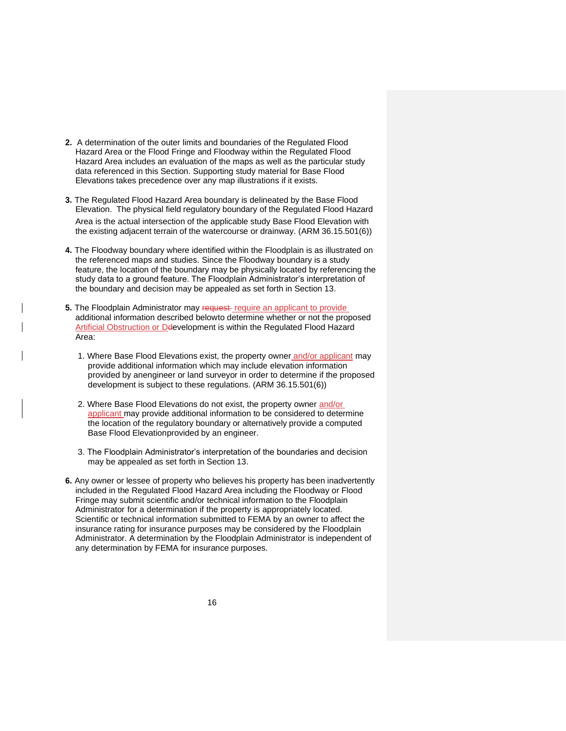- **2.** A determination of the outer limits and boundaries of the Regulated Flood Hazard Area or the Flood Fringe and Floodway within the Regulated Flood Hazard Area includes an evaluation of the maps as well as the particular study data referenced in this Section. Supporting study material for Base Flood Elevations takes precedence over any map illustrations if it exists.
- **3.** The Regulated Flood Hazard Area boundary is delineated by the Base Flood Elevation. The physical field regulatory boundary of the Regulated Flood Hazard Area is the actual intersection of the applicable study Base Flood Elevation with the existing adjacent terrain of the watercourse or drainway. (ARM 36.15.501(6))
- **4.** The Floodway boundary where identified within the Floodplain is as illustrated on the referenced maps and studies. Since the Floodway boundary is a study feature, the location of the boundary may be physically located by referencing the study data to a ground feature. The Floodplain Administrator's interpretation of the boundary and decision may be appealed as set forth in Section 13.
- **5.** The Floodplain Administrator may request-require an applicant to provide additional information described belowto determine whether or not the proposed Artificial Obstruction or Ddevelopment is within the Regulated Flood Hazard Area:
	- 1. Where Base Flood Elevations exist, the property owner and/or applicant may provide additional information which may include elevation information provided by anengineer or land surveyor in order to determine if the proposed development is subject to these regulations. (ARM 36.15.501(6))
	- 2. Where Base Flood Elevations do not exist, the property owner and/or applicant may provide additional information to be considered to determine the location of the regulatory boundary or alternatively provide a computed Base Flood Elevationprovided by an engineer.
	- 3. The Floodplain Administrator's interpretation of the boundaries and decision may be appealed as set forth in Section 13.
- **6.** Any owner or lessee of property who believes his property has been inadvertently included in the Regulated Flood Hazard Area including the Floodway or Flood Fringe may submit scientific and/or technical information to the Floodplain Administrator for a determination if the property is appropriately located. Scientific or technical information submitted to FEMA by an owner to affect the insurance rating for insurance purposes may be considered by the Floodplain Administrator. A determination by the Floodplain Administrator is independent of any determination by FEMA for insurance purposes.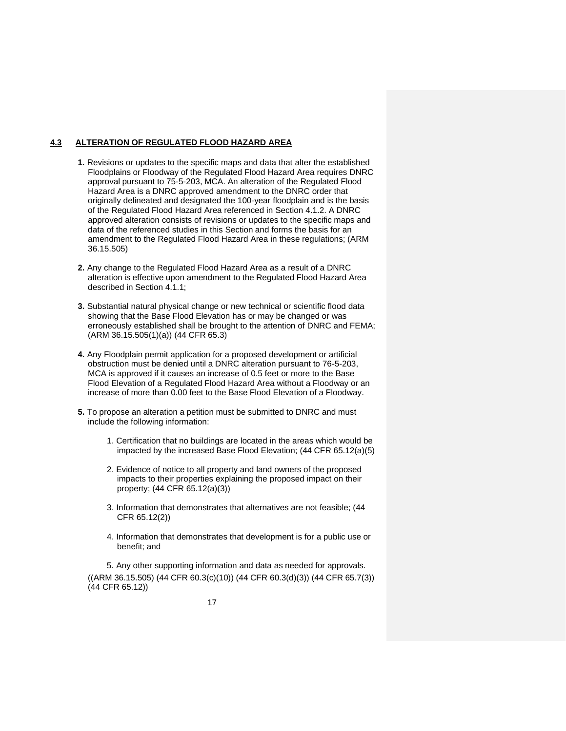### **4.3 ALTERATION OF REGULATED FLOOD HAZARD AREA**

- **1.** Revisions or updates to the specific maps and data that alter the established Floodplains or Floodway of the Regulated Flood Hazard Area requires DNRC approval pursuant to 75-5-203, MCA. An alteration of the Regulated Flood Hazard Area is a DNRC approved amendment to the DNRC order that originally delineated and designated the 100-year floodplain and is the basis of the Regulated Flood Hazard Area referenced in Section 4.1.2. A DNRC approved alteration consists of revisions or updates to the specific maps and data of the referenced studies in this Section and forms the basis for an amendment to the Regulated Flood Hazard Area in these regulations; (ARM 36.15.505)
- **2.** Any change to the Regulated Flood Hazard Area as a result of a DNRC alteration is effective upon amendment to the Regulated Flood Hazard Area described in Section 4.1.1;
- **3.** Substantial natural physical change or new technical or scientific flood data showing that the Base Flood Elevation has or may be changed or was erroneously established shall be brought to the attention of DNRC and FEMA; (ARM 36.15.505(1)(a)) (44 CFR 65.3)
- **4.** Any Floodplain permit application for a proposed development or artificial obstruction must be denied until a DNRC alteration pursuant to 76-5-203, MCA is approved if it causes an increase of 0.5 feet or more to the Base Flood Elevation of a Regulated Flood Hazard Area without a Floodway or an increase of more than 0.00 feet to the Base Flood Elevation of a Floodway.
- **5.** To propose an alteration a petition must be submitted to DNRC and must include the following information:
	- 1. Certification that no buildings are located in the areas which would be impacted by the increased Base Flood Elevation; (44 CFR 65.12(a)(5)
	- 2. Evidence of notice to all property and land owners of the proposed impacts to their properties explaining the proposed impact on their property; (44 CFR 65.12(a)(3))
	- 3. Information that demonstrates that alternatives are not feasible; (44 CFR 65.12(2))
	- 4. Information that demonstrates that development is for a public use or benefit; and

5. Any other supporting information and data as needed for approvals.  $((ARM 36.15.505) (44 CFR 60.3(c)(10)) (44 CFR 60.3(d)(3)) (44 CFR 65.7(3))$ (44 CFR 65.12))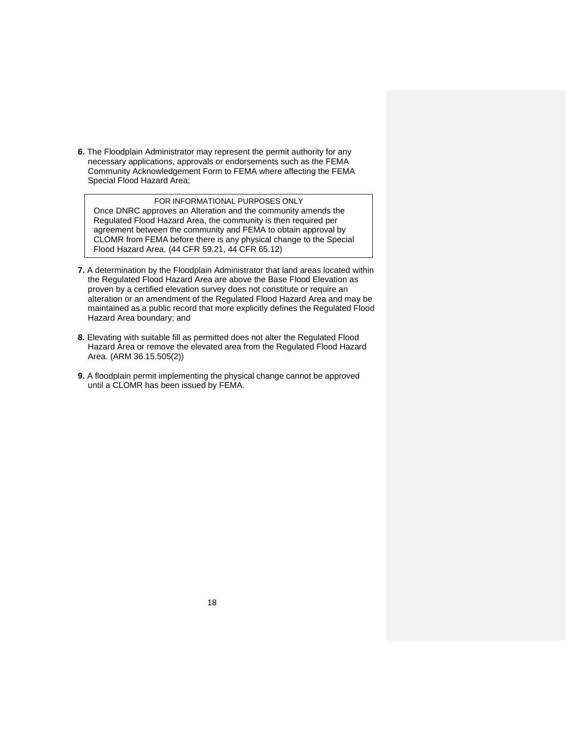**6.** The Floodplain Administrator may represent the permit authority for any necessary applications, approvals or endorsements such as the FEMA Community Acknowledgement Form to FEMA where affecting the FEMA Special Flood Hazard Area;

## FOR INFORMATIONAL PURPOSES ONLY

Once DNRC approves an Alteration and the community amends the Regulated Flood Hazard Area, the community is then required per agreement between the community and FEMA to obtain approval by CLOMR from FEMA before there is any physical change to the Special Flood Hazard Area. (44 CFR 59.21, 44 CFR 65.12)

- **7.** A determination by the Floodplain Administrator that land areas located within the Regulated Flood Hazard Area are above the Base Flood Elevation as proven by a certified elevation survey does not constitute or require an alteration or an amendment of the Regulated Flood Hazard Area and may be maintained as a public record that more explicitly defines the Regulated Flood Hazard Area boundary; and
- **8.** Elevating with suitable fill as permitted does not alter the Regulated Flood Hazard Area or remove the elevated area from the Regulated Flood Hazard Area. (ARM 36.15.505(2))
- **9.** A floodplain permit implementing the physical change cannot be approved until a CLOMR has been issued by FEMA.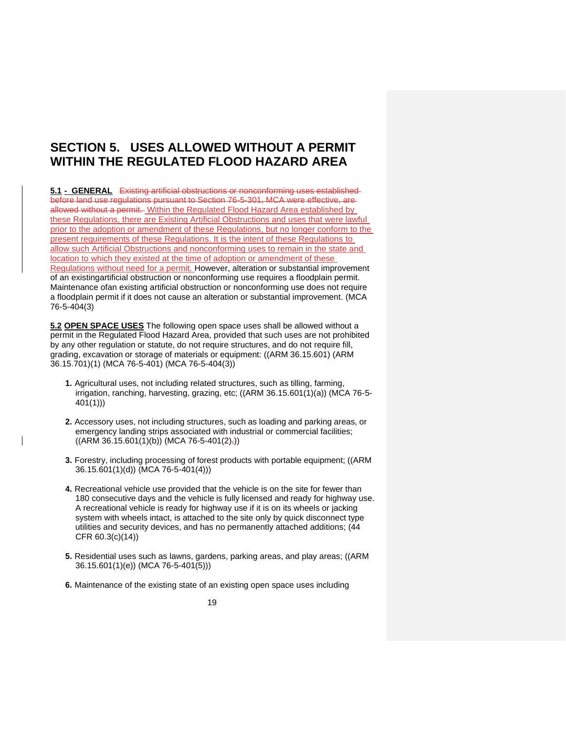## **SECTION 5. USES ALLOWED WITHOUT A PERMIT WITHIN THE REGULATED FLOOD HAZARD AREA**

**5.1 - GENERAL** Existing artificial obstructions or nonconforming uses established before land use regulations pursuant to Section 76-5-301, MCA were effective, are allowed without a permit. Within the Regulated Flood Hazard Area established by these Regulations, there are Existing Artificial Obstructions and uses that were lawful prior to the adoption or amendment of these Regulations, but no longer conform to the present requirements of these Regulations. It is the intent of these Regulations to allow such Artificial Obstructions and nonconforming uses to remain in the state and location to which they existed at the time of adoption or amendment of these Regulations without need for a permit. However, alteration or substantial improvement of an existingartificial obstruction or nonconforming use requires a floodplain permit. Maintenance ofan existing artificial obstruction or nonconforming use does not require a floodplain permit if it does not cause an alteration or substantial improvement. (MCA 76-5-404(3)

**5.2 OPEN SPACE USES** The following open space uses shall be allowed without a permit in the Regulated Flood Hazard Area, provided that such uses are not prohibited by any other regulation or statute, do not require structures, and do not require fill, grading, excavation or storage of materials or equipment: ((ARM 36.15.601) (ARM 36.15.701)(1) (MCA 76-5-401) (MCA 76-5-404(3))

- **1.** Agricultural uses, not including related structures, such as tilling, farming, irrigation, ranching, harvesting, grazing, etc; ((ARM 36.15.601(1)(a)) (MCA 76-5- 401(1)))
- **2.** Accessory uses, not including structures, such as loading and parking areas, or emergency landing strips associated with industrial or commercial facilities;  $((ARM 36.15.601(1)(b))$  (MCA 76-5-401(2)<sub>7</sub>))
- **3.** Forestry, including processing of forest products with portable equipment; ((ARM 36.15.601(1)(d)) (MCA 76-5-401(4)))
- **4.** Recreational vehicle use provided that the vehicle is on the site for fewer than 180 consecutive days and the vehicle is fully licensed and ready for highway use. A recreational vehicle is ready for highway use if it is on its wheels or jacking system with wheels intact, is attached to the site only by quick disconnect type utilities and security devices, and has no permanently attached additions; (44 CFR 60.3(c)(14))
- **5.** Residential uses such as lawns, gardens, parking areas, and play areas; ((ARM 36.15.601(1)(e)) (MCA 76-5-401(5)))
- **6.** Maintenance of the existing state of an existing open space uses including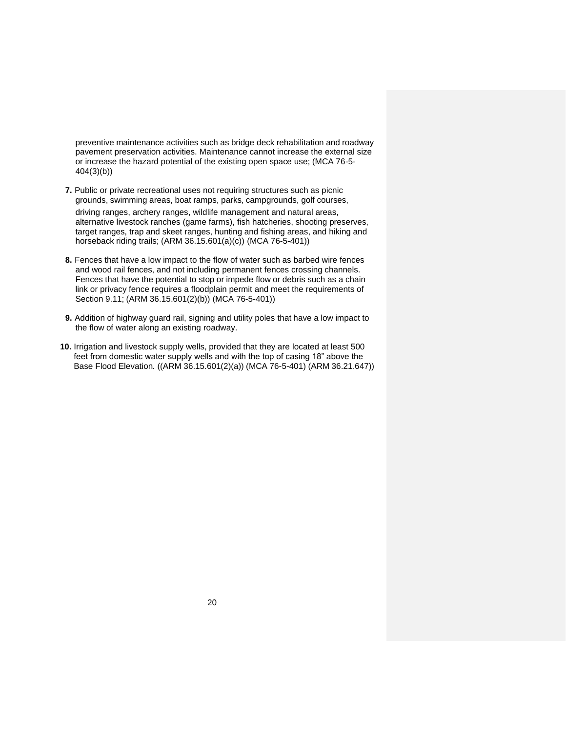preventive maintenance activities such as bridge deck rehabilitation and roadway pavement preservation activities. Maintenance cannot increase the external size or increase the hazard potential of the existing open space use; (MCA 76-5- 404(3)(b))

**7.** Public or private recreational uses not requiring structures such as picnic grounds, swimming areas, boat ramps, parks, campgrounds, golf courses,

driving ranges, archery ranges, wildlife management and natural areas, alternative livestock ranches (game farms), fish hatcheries, shooting preserves, target ranges, trap and skeet ranges, hunting and fishing areas, and hiking and horseback riding trails; (ARM 36.15.601(a)(c)) (MCA 76-5-401))

- **8.** Fences that have a low impact to the flow of water such as barbed wire fences and wood rail fences, and not including permanent fences crossing channels. Fences that have the potential to stop or impede flow or debris such as a chain link or privacy fence requires a floodplain permit and meet the requirements of Section 9.11; (ARM 36.15.601(2)(b)) (MCA 76-5-401))
- **9.** Addition of highway guard rail, signing and utility poles that have a low impact to the flow of water along an existing roadway.
- **10.** Irrigation and livestock supply wells, provided that they are located at least 500 feet from domestic water supply wells and with the top of casing 18" above the Base Flood Elevation*.* ((ARM 36.15.601(2)(a)) (MCA 76-5-401) (ARM 36.21.647))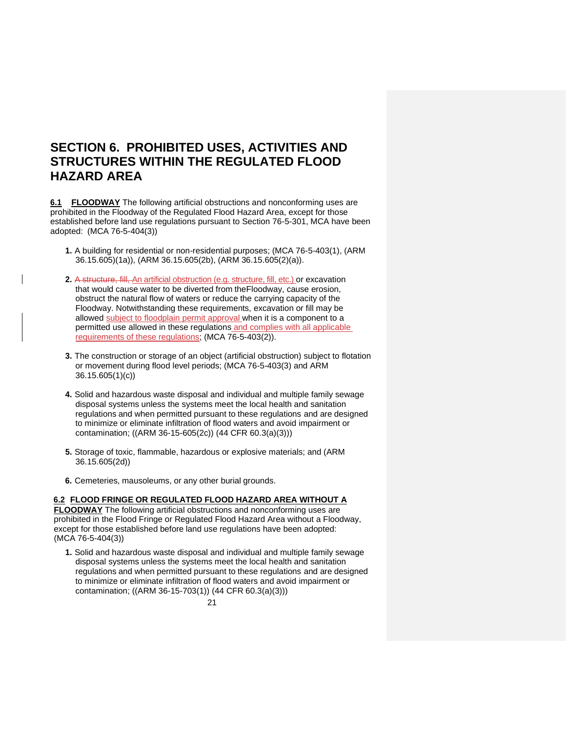## **SECTION 6. PROHIBITED USES, ACTIVITIES AND STRUCTURES WITHIN THE REGULATED FLOOD HAZARD AREA**

**6.1 FLOODWAY** The following artificial obstructions and nonconforming uses are prohibited in the Floodway of the Regulated Flood Hazard Area, except for those established before land use regulations pursuant to Section 76-5-301, MCA have been adopted: (MCA 76-5-404(3))

- **1.** A building for residential or non-residential purposes; (MCA 76-5-403(1), (ARM 36.15.605)(1a)), (ARM 36.15.605(2b), (ARM 36.15.605(2)(a)).
- **2.** A structure, fill, An artificial obstruction (e.g. structure, fill, etc.) or excavation that would cause water to be diverted from theFloodway, cause erosion, obstruct the natural flow of waters or reduce the carrying capacity of the Floodway. Notwithstanding these requirements, excavation or fill may be allowed subject to floodplain permit approval when it is a component to a permitted use allowed in these regulations and complies with all applicable requirements of these regulations; (MCA 76-5-403(2)).
- **3.** The construction or storage of an object (artificial obstruction) subject to flotation or movement during flood level periods; (MCA 76-5-403(3) and ARM 36.15.605(1)(c))
- **4.** Solid and hazardous waste disposal and individual and multiple family sewage disposal systems unless the systems meet the local health and sanitation regulations and when permitted pursuant to these regulations and are designed to minimize or eliminate infiltration of flood waters and avoid impairment or contamination; ((ARM 36-15-605(2c)) (44 CFR 60.3(a)(3)))
- **5.** Storage of toxic, flammable, hazardous or explosive materials; and (ARM 36.15.605(2d))
- **6.** Cemeteries, mausoleums, or any other burial grounds.

#### **6.2 FLOOD FRINGE OR REGULATED FLOOD HAZARD AREA WITHOUT A**

**FLOODWAY** The following artificial obstructions and nonconforming uses are prohibited in the Flood Fringe or Regulated Flood Hazard Area without a Floodway, except for those established before land use regulations have been adopted: (MCA 76-5-404(3))

**1.** Solid and hazardous waste disposal and individual and multiple family sewage disposal systems unless the systems meet the local health and sanitation regulations and when permitted pursuant to these regulations and are designed to minimize or eliminate infiltration of flood waters and avoid impairment or contamination; ((ARM 36-15-703(1)) (44 CFR 60.3(a)(3)))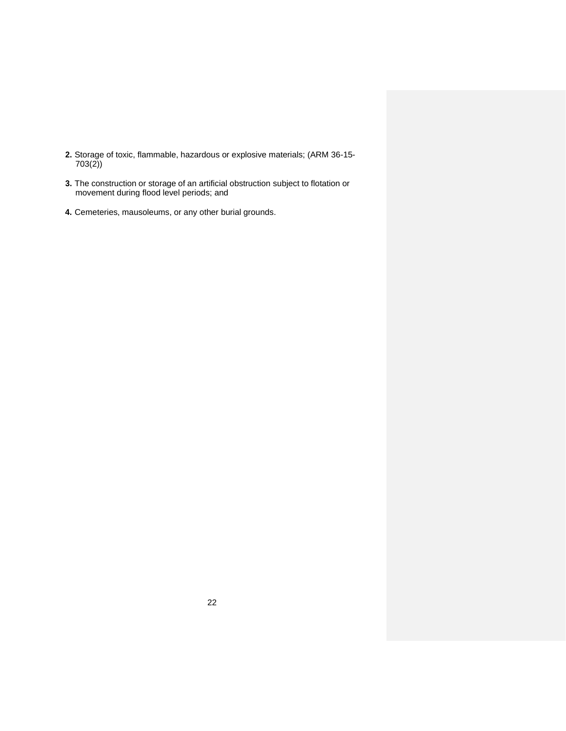- **2.** Storage of toxic, flammable, hazardous or explosive materials; (ARM 36-15- 703(2))
- **3.** The construction or storage of an artificial obstruction subject to flotation or movement during flood level periods; and
- **4.** Cemeteries, mausoleums, or any other burial grounds.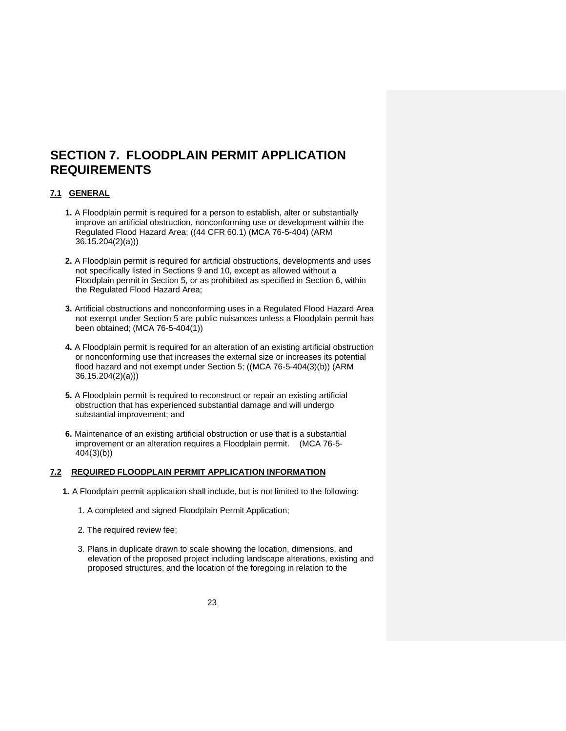## **SECTION 7. FLOODPLAIN PERMIT APPLICATION REQUIREMENTS**

### **7.1 GENERAL**

- **1.** A Floodplain permit is required for a person to establish, alter or substantially improve an artificial obstruction, nonconforming use or development within the Regulated Flood Hazard Area; ((44 CFR 60.1) (MCA 76-5-404) (ARM 36.15.204(2)(a)))
- **2.** A Floodplain permit is required for artificial obstructions, developments and uses not specifically listed in Sections 9 and 10, except as allowed without a Floodplain permit in Section 5, or as prohibited as specified in Section 6, within the Regulated Flood Hazard Area;
- **3.** Artificial obstructions and nonconforming uses in a Regulated Flood Hazard Area not exempt under Section 5 are public nuisances unless a Floodplain permit has been obtained; (MCA 76-5-404(1))
- **4.** A Floodplain permit is required for an alteration of an existing artificial obstruction or nonconforming use that increases the external size or increases its potential flood hazard and not exempt under Section 5; ((MCA 76-5-404(3)(b)) (ARM 36.15.204(2)(a)))
- **5.** A Floodplain permit is required to reconstruct or repair an existing artificial obstruction that has experienced substantial damage and will undergo substantial improvement; and
- **6.** Maintenance of an existing artificial obstruction or use that is a substantial improvement or an alteration requires a Floodplain permit. (MCA 76-5- 404(3)(b))

### **7.2 REQUIRED FLOODPLAIN PERMIT APPLICATION INFORMATION**

- **1.** A Floodplain permit application shall include, but is not limited to the following:
	- 1. A completed and signed Floodplain Permit Application;
	- 2. The required review fee;
	- 3. Plans in duplicate drawn to scale showing the location, dimensions, and elevation of the proposed project including landscape alterations, existing and proposed structures, and the location of the foregoing in relation to the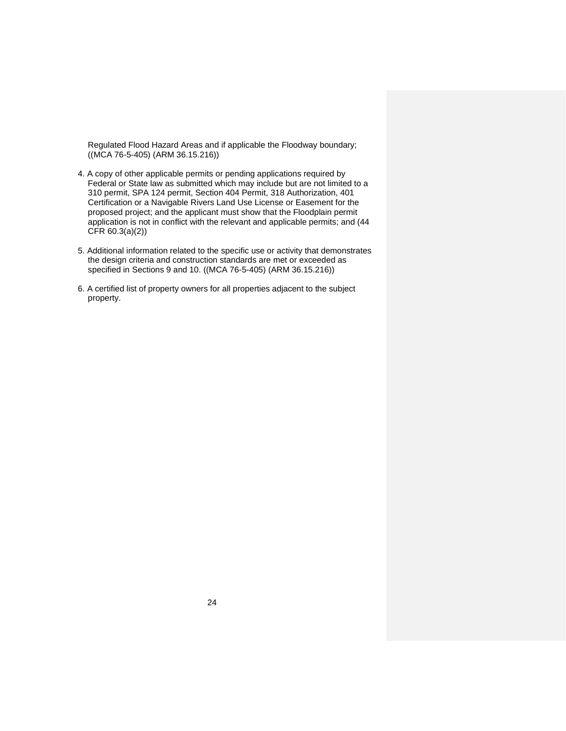Regulated Flood Hazard Areas and if applicable the Floodway boundary; ((MCA 76-5-405) (ARM 36.15.216))

- 4. A copy of other applicable permits or pending applications required by Federal or State law as submitted which may include but are not limited to a 310 permit, SPA 124 permit, Section 404 Permit, 318 Authorization, 401 Certification or a Navigable Rivers Land Use License or Easement for the proposed project; and the applicant must show that the Floodplain permit application is not in conflict with the relevant and applicable permits; and (44 CFR 60.3(a)(2))
- 5. Additional information related to the specific use or activity that demonstrates the design criteria and construction standards are met or exceeded as specified in Sections 9 and 10. ((MCA 76-5-405) (ARM 36.15.216))
- 6. A certified list of property owners for all properties adjacent to the subject property.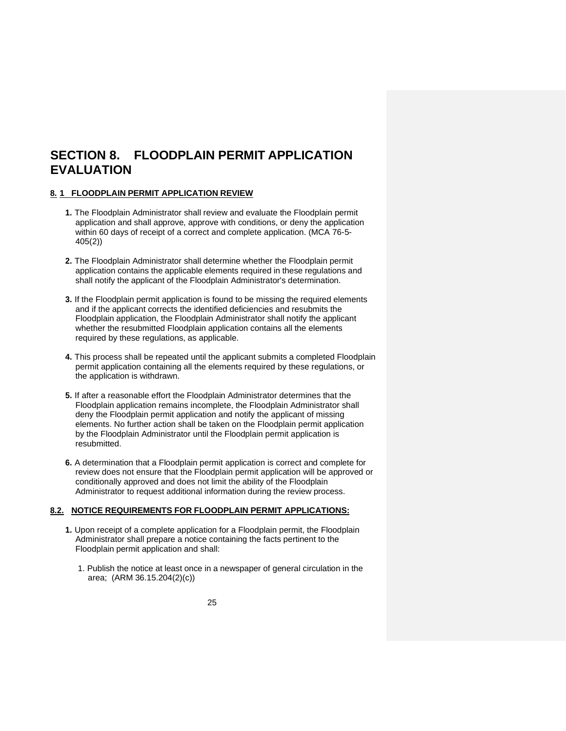## **SECTION 8. FLOODPLAIN PERMIT APPLICATION EVALUATION**

#### **8. 1 FLOODPLAIN PERMIT APPLICATION REVIEW**

- **1.** The Floodplain Administrator shall review and evaluate the Floodplain permit application and shall approve, approve with conditions, or deny the application within 60 days of receipt of a correct and complete application. (MCA 76-5- 405(2))
- **2.** The Floodplain Administrator shall determine whether the Floodplain permit application contains the applicable elements required in these regulations and shall notify the applicant of the Floodplain Administrator's determination.
- **3.** If the Floodplain permit application is found to be missing the required elements and if the applicant corrects the identified deficiencies and resubmits the Floodplain application, the Floodplain Administrator shall notify the applicant whether the resubmitted Floodplain application contains all the elements required by these regulations, as applicable.
- **4.** This process shall be repeated until the applicant submits a completed Floodplain permit application containing all the elements required by these regulations, or the application is withdrawn.
- **5.** If after a reasonable effort the Floodplain Administrator determines that the Floodplain application remains incomplete, the Floodplain Administrator shall deny the Floodplain permit application and notify the applicant of missing elements. No further action shall be taken on the Floodplain permit application by the Floodplain Administrator until the Floodplain permit application is resubmitted.
- **6.** A determination that a Floodplain permit application is correct and complete for review does not ensure that the Floodplain permit application will be approved or conditionally approved and does not limit the ability of the Floodplain Administrator to request additional information during the review process.

#### **8.2. NOTICE REQUIREMENTS FOR FLOODPLAIN PERMIT APPLICATIONS:**

- **1.** Upon receipt of a complete application for a Floodplain permit, the Floodplain Administrator shall prepare a notice containing the facts pertinent to the Floodplain permit application and shall:
	- 1. Publish the notice at least once in a newspaper of general circulation in the area; (ARM 36.15.204(2)(c))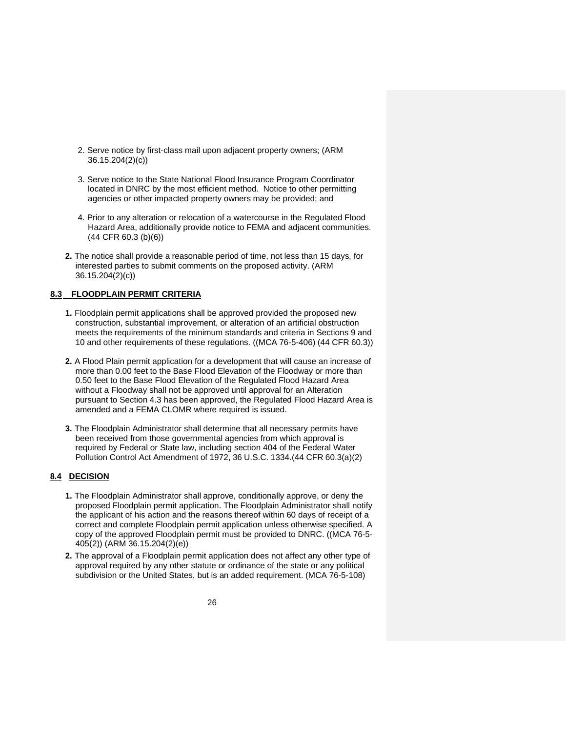- 2. Serve notice by first-class mail upon adjacent property owners; (ARM 36.15.204(2)(c))
- 3. Serve notice to the State National Flood Insurance Program Coordinator located in DNRC by the most efficient method. Notice to other permitting agencies or other impacted property owners may be provided; and
- 4. Prior to any alteration or relocation of a watercourse in the Regulated Flood Hazard Area, additionally provide notice to FEMA and adjacent communities. (44 CFR 60.3 (b)(6))
- **2.** The notice shall provide a reasonable period of time, not less than 15 days, for interested parties to submit comments on the proposed activity. (ARM 36.15.204(2)(c))

### **8.3 FLOODPLAIN PERMIT CRITERIA**

- **1.** Floodplain permit applications shall be approved provided the proposed new construction, substantial improvement, or alteration of an artificial obstruction meets the requirements of the minimum standards and criteria in Sections 9 and 10 and other requirements of these regulations. ((MCA 76-5-406) (44 CFR 60.3))
- **2.** A Flood Plain permit application for a development that will cause an increase of more than 0.00 feet to the Base Flood Elevation of the Floodway or more than 0.50 feet to the Base Flood Elevation of the Regulated Flood Hazard Area without a Floodway shall not be approved until approval for an Alteration pursuant to Section 4.3 has been approved, the Regulated Flood Hazard Area is amended and a FEMA CLOMR where required is issued.
- **3.** The Floodplain Administrator shall determine that all necessary permits have been received from those governmental agencies from which approval is required by Federal or State law, including section 404 of the Federal Water Pollution Control Act Amendment of 1972, 36 U.S.C. 1334.(44 CFR 60.3(a)(2)

### **8.4 DECISION**

- **1.** The Floodplain Administrator shall approve, conditionally approve, or deny the proposed Floodplain permit application. The Floodplain Administrator shall notify the applicant of his action and the reasons thereof within 60 days of receipt of a correct and complete Floodplain permit application unless otherwise specified. A copy of the approved Floodplain permit must be provided to DNRC. ((MCA 76-5- 405(2)) (ARM 36.15.204(2)(e))
- **2.** The approval of a Floodplain permit application does not affect any other type of approval required by any other statute or ordinance of the state or any political subdivision or the United States, but is an added requirement. (MCA 76-5-108)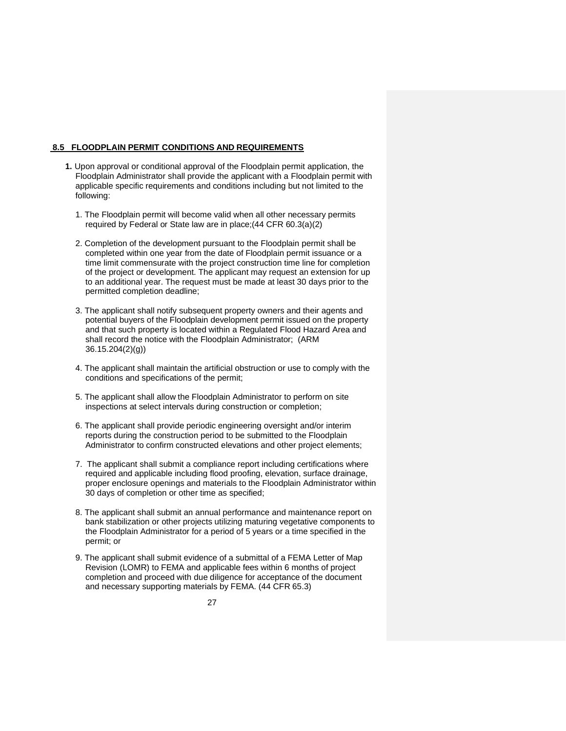#### **8.5 FLOODPLAIN PERMIT CONDITIONS AND REQUIREMENTS**

- **1.** Upon approval or conditional approval of the Floodplain permit application, the Floodplain Administrator shall provide the applicant with a Floodplain permit with applicable specific requirements and conditions including but not limited to the following:
	- 1. The Floodplain permit will become valid when all other necessary permits required by Federal or State law are in place;(44 CFR 60.3(a)(2)
	- 2. Completion of the development pursuant to the Floodplain permit shall be completed within one year from the date of Floodplain permit issuance or a time limit commensurate with the project construction time line for completion of the project or development. The applicant may request an extension for up to an additional year. The request must be made at least 30 days prior to the permitted completion deadline;
	- 3. The applicant shall notify subsequent property owners and their agents and potential buyers of the Floodplain development permit issued on the property and that such property is located within a Regulated Flood Hazard Area and shall record the notice with the Floodplain Administrator; (ARM 36.15.204(2)(g))
	- 4. The applicant shall maintain the artificial obstruction or use to comply with the conditions and specifications of the permit;
	- 5. The applicant shall allow the Floodplain Administrator to perform on site inspections at select intervals during construction or completion;
	- 6. The applicant shall provide periodic engineering oversight and/or interim reports during the construction period to be submitted to the Floodplain Administrator to confirm constructed elevations and other project elements;
	- 7. The applicant shall submit a compliance report including certifications where required and applicable including flood proofing, elevation, surface drainage, proper enclosure openings and materials to the Floodplain Administrator within 30 days of completion or other time as specified;
	- 8. The applicant shall submit an annual performance and maintenance report on bank stabilization or other projects utilizing maturing vegetative components to the Floodplain Administrator for a period of 5 years or a time specified in the permit; or
	- 9. The applicant shall submit evidence of a submittal of a FEMA Letter of Map Revision (LOMR) to FEMA and applicable fees within 6 months of project completion and proceed with due diligence for acceptance of the document and necessary supporting materials by FEMA. (44 CFR 65.3)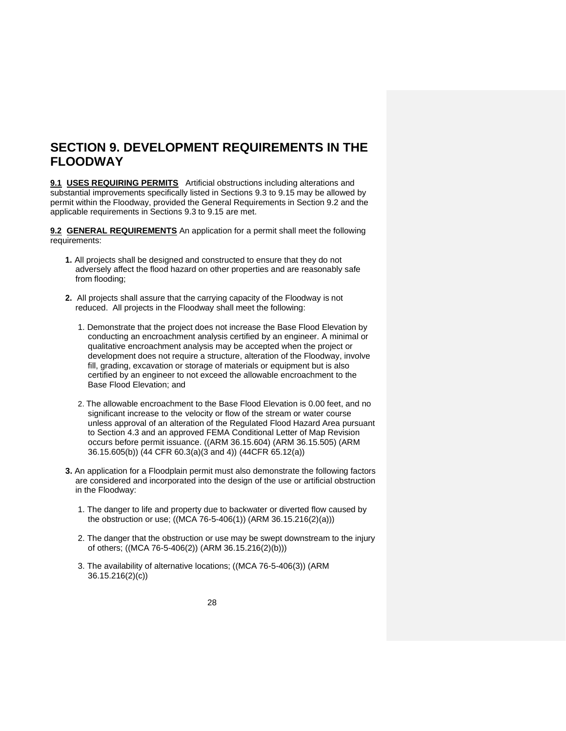## **SECTION 9. DEVELOPMENT REQUIREMENTS IN THE FLOODWAY**

**9.1 USES REQUIRING PERMITS** Artificial obstructions including alterations and substantial improvements specifically listed in Sections 9.3 to 9.15 may be allowed by permit within the Floodway, provided the General Requirements in Section 9.2 and the applicable requirements in Sections 9.3 to 9.15 are met.

**9.2 GENERAL REQUIREMENTS** An application for a permit shall meet the following requirements:

- **1.** All projects shall be designed and constructed to ensure that they do not adversely affect the flood hazard on other properties and are reasonably safe from flooding;
- **2.** All projects shall assure that the carrying capacity of the Floodway is not reduced. All projects in the Floodway shall meet the following:
	- 1. Demonstrate that the project does not increase the Base Flood Elevation by conducting an encroachment analysis certified by an engineer. A minimal or qualitative encroachment analysis may be accepted when the project or development does not require a structure, alteration of the Floodway, involve fill, grading, excavation or storage of materials or equipment but is also certified by an engineer to not exceed the allowable encroachment to the Base Flood Elevation; and
	- 2. The allowable encroachment to the Base Flood Elevation is 0.00 feet, and no significant increase to the velocity or flow of the stream or water course unless approval of an alteration of the Regulated Flood Hazard Area pursuant to Section 4.3 and an approved FEMA Conditional Letter of Map Revision occurs before permit issuance. ((ARM 36.15.604) (ARM 36.15.505) (ARM 36.15.605(b)) (44 CFR 60.3(a)(3 and 4)) (44CFR 65.12(a))
- **3.** An application for a Floodplain permit must also demonstrate the following factors are considered and incorporated into the design of the use or artificial obstruction in the Floodway:
	- 1. The danger to life and property due to backwater or diverted flow caused by the obstruction or use; ((MCA 76-5-406(1)) (ARM 36.15.216(2)(a)))
	- 2. The danger that the obstruction or use may be swept downstream to the injury of others; ((MCA 76-5-406(2)) (ARM 36.15.216(2)(b)))
	- 3. The availability of alternative locations; ((MCA 76-5-406(3)) (ARM 36.15.216(2)(c))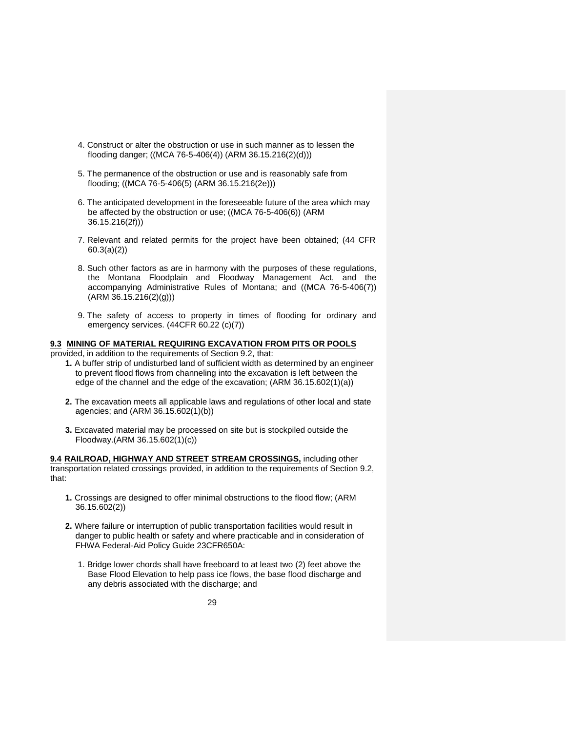- 4. Construct or alter the obstruction or use in such manner as to lessen the flooding danger; ((MCA 76-5-406(4)) (ARM 36.15.216(2)(d)))
- 5. The permanence of the obstruction or use and is reasonably safe from flooding; ((MCA 76-5-406(5) (ARM 36.15.216(2e)))
- 6. The anticipated development in the foreseeable future of the area which may be affected by the obstruction or use; ((MCA 76-5-406(6)) (ARM 36.15.216(2f)))
- 7. Relevant and related permits for the project have been obtained; (44 CFR 60.3(a)(2))
- 8. Such other factors as are in harmony with the purposes of these regulations, the Montana Floodplain and Floodway Management Act, and the accompanying Administrative Rules of Montana; and ((MCA 76-5-406(7)) (ARM 36.15.216(2)(g)))
- 9. The safety of access to property in times of flooding for ordinary and emergency services. (44CFR 60.22 (c)(7))

#### **9.3 MINING OF MATERIAL REQUIRING EXCAVATION FROM PITS OR POOLS**

provided, in addition to the requirements of Section 9.2, that:

- **1.** A buffer strip of undisturbed land of sufficient width as determined by an engineer to prevent flood flows from channeling into the excavation is left between the edge of the channel and the edge of the excavation; (ARM 36.15.602(1)(a))
- **2.** The excavation meets all applicable laws and regulations of other local and state agencies; and (ARM 36.15.602(1)(b))
- **3.** Excavated material may be processed on site but is stockpiled outside the Floodway.(ARM 36.15.602(1)(c))

**9.4 RAILROAD, HIGHWAY AND STREET STREAM CROSSINGS,** including other transportation related crossings provided, in addition to the requirements of Section 9.2, that:

- **1.** Crossings are designed to offer minimal obstructions to the flood flow; (ARM 36.15.602(2))
- **2.** Where failure or interruption of public transportation facilities would result in danger to public health or safety and where practicable and in consideration of FHWA Federal-Aid Policy Guide 23CFR650A:
	- 1. Bridge lower chords shall have freeboard to at least two (2) feet above the Base Flood Elevation to help pass ice flows, the base flood discharge and any debris associated with the discharge; and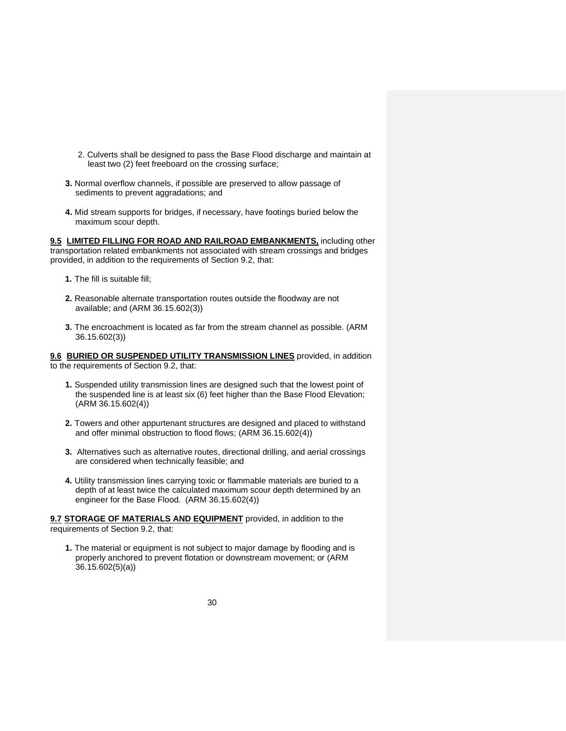- 2. Culverts shall be designed to pass the Base Flood discharge and maintain at least two (2) feet freeboard on the crossing surface;
- **3.** Normal overflow channels, if possible are preserved to allow passage of sediments to prevent aggradations; and
- **4.** Mid stream supports for bridges, if necessary, have footings buried below the maximum scour depth.

**9.5 LIMITED FILLING FOR ROAD AND RAILROAD EMBANKMENTS,** including other transportation related embankments not associated with stream crossings and bridges provided, in addition to the requirements of Section 9.2, that:

- **1.** The fill is suitable fill;
- **2.** Reasonable alternate transportation routes outside the floodway are not available; and (ARM 36.15.602(3))
- **3.** The encroachment is located as far from the stream channel as possible. (ARM 36.15.602(3))

**9.6 BURIED OR SUSPENDED UTILITY TRANSMISSION LINES** provided, in addition to the requirements of Section 9.2, that:

- **1.** Suspended utility transmission lines are designed such that the lowest point of the suspended line is at least six (6) feet higher than the Base Flood Elevation; (ARM 36.15.602(4))
- **2.** Towers and other appurtenant structures are designed and placed to withstand and offer minimal obstruction to flood flows; (ARM 36.15.602(4))
- **3.** Alternatives such as alternative routes, directional drilling, and aerial crossings are considered when technically feasible; and
- **4.** Utility transmission lines carrying toxic or flammable materials are buried to a depth of at least twice the calculated maximum scour depth determined by an engineer for the Base Flood. (ARM 36.15.602(4))

**9.7 STORAGE OF MATERIALS AND EQUIPMENT** provided, in addition to the requirements of Section 9.2, that:

**1.** The material or equipment is not subject to major damage by flooding and is properly anchored to prevent flotation or downstream movement; or (ARM 36.15.602(5)(a))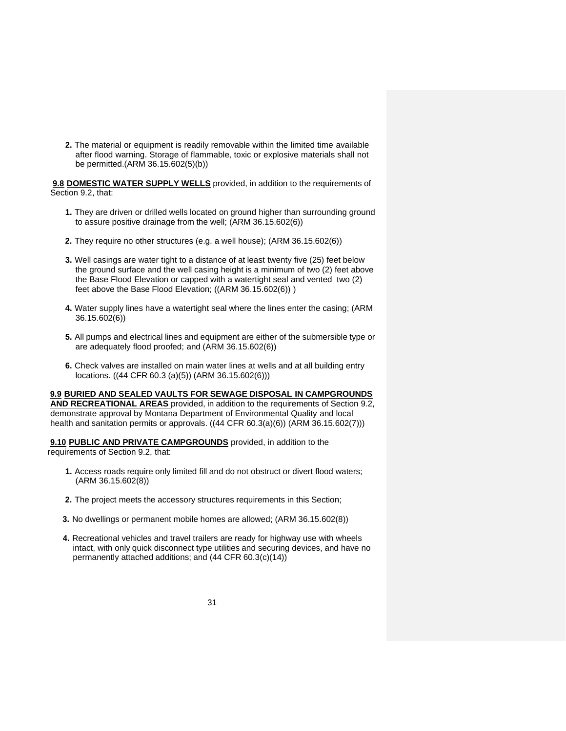**2.** The material or equipment is readily removable within the limited time available after flood warning. Storage of flammable, toxic or explosive materials shall not be permitted.(ARM 36.15.602(5)(b))

**9.8 DOMESTIC WATER SUPPLY WELLS** provided, in addition to the requirements of Section 9.2, that:

- **1.** They are driven or drilled wells located on ground higher than surrounding ground to assure positive drainage from the well; (ARM 36.15.602(6))
- **2.** They require no other structures (e.g. a well house); (ARM 36.15.602(6))
- **3.** Well casings are water tight to a distance of at least twenty five (25) feet below the ground surface and the well casing height is a minimum of two (2) feet above the Base Flood Elevation or capped with a watertight seal and vented two (2) feet above the Base Flood Elevation; ((ARM 36.15.602(6)) )
- **4.** Water supply lines have a watertight seal where the lines enter the casing; (ARM 36.15.602(6))
- **5.** All pumps and electrical lines and equipment are either of the submersible type or are adequately flood proofed; and (ARM 36.15.602(6))
- **6.** Check valves are installed on main water lines at wells and at all building entry locations. ((44 CFR 60.3 (a)(5)) (ARM 36.15.602(6)))

**9.9 BURIED AND SEALED VAULTS FOR SEWAGE DISPOSAL IN CAMPGROUNDS AND RECREATIONAL AREAS** provided, in addition to the requirements of Section 9.2, demonstrate approval by Montana Department of Environmental Quality and local health and sanitation permits or approvals. ((44 CFR 60.3(a)(6)) (ARM 36.15.602(7)))

**9.10 PUBLIC AND PRIVATE CAMPGROUNDS** provided, in addition to the requirements of Section 9.2, that:

- **1.** Access roads require only limited fill and do not obstruct or divert flood waters; (ARM 36.15.602(8))
- **2.** The project meets the accessory structures requirements in this Section;
- **3.** No dwellings or permanent mobile homes are allowed; (ARM 36.15.602(8))
- **4.** Recreational vehicles and travel trailers are ready for highway use with wheels intact, with only quick disconnect type utilities and securing devices, and have no permanently attached additions; and (44 CFR 60.3(c)(14))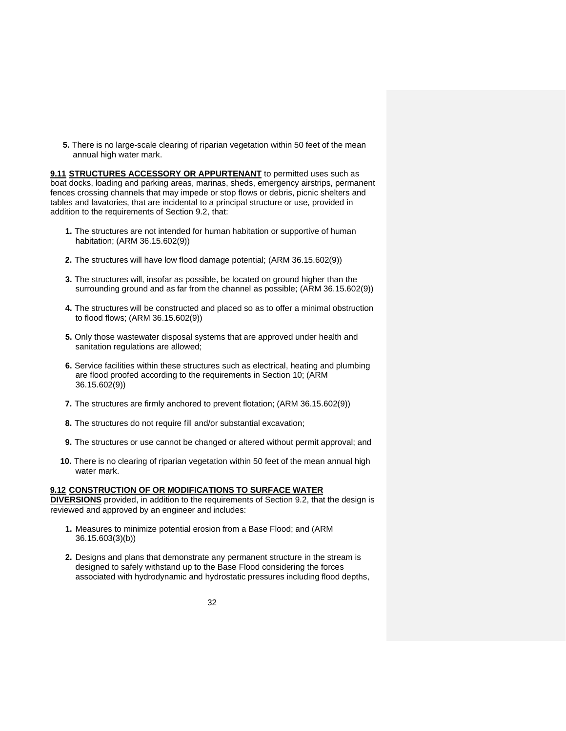**5.** There is no large-scale clearing of riparian vegetation within 50 feet of the mean annual high water mark.

**9.11 STRUCTURES ACCESSORY OR APPURTENANT** to permitted uses such as boat docks, loading and parking areas, marinas, sheds, emergency airstrips, permanent fences crossing channels that may impede or stop flows or debris, picnic shelters and tables and lavatories, that are incidental to a principal structure or use, provided in addition to the requirements of Section 9.2, that:

- **1.** The structures are not intended for human habitation or supportive of human habitation; (ARM 36.15.602(9))
- **2.** The structures will have low flood damage potential; (ARM 36.15.602(9))
- **3.** The structures will, insofar as possible, be located on ground higher than the surrounding ground and as far from the channel as possible; (ARM 36.15.602(9))
- **4.** The structures will be constructed and placed so as to offer a minimal obstruction to flood flows; (ARM 36.15.602(9))
- **5.** Only those wastewater disposal systems that are approved under health and sanitation regulations are allowed;
- **6.** Service facilities within these structures such as electrical, heating and plumbing are flood proofed according to the requirements in Section 10; (ARM 36.15.602(9))
- **7.** The structures are firmly anchored to prevent flotation; (ARM 36.15.602(9))
- **8.** The structures do not require fill and/or substantial excavation;
- **9.** The structures or use cannot be changed or altered without permit approval; and
- **10.** There is no clearing of riparian vegetation within 50 feet of the mean annual high water mark.

#### **9.12 CONSTRUCTION OF OR MODIFICATIONS TO SURFACE WATER**

**DIVERSIONS** provided, in addition to the requirements of Section 9.2, that the design is reviewed and approved by an engineer and includes:

- **1.** Measures to minimize potential erosion from a Base Flood; and (ARM 36.15.603(3)(b))
- **2.** Designs and plans that demonstrate any permanent structure in the stream is designed to safely withstand up to the Base Flood considering the forces associated with hydrodynamic and hydrostatic pressures including flood depths,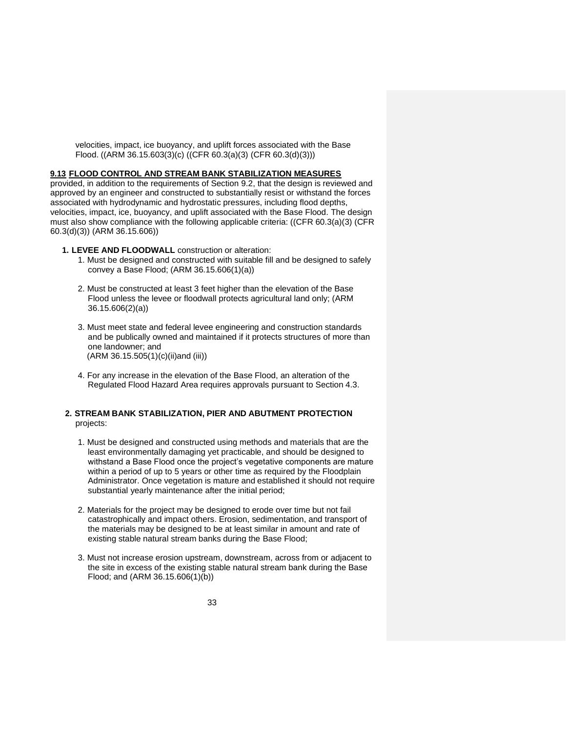velocities, impact, ice buoyancy, and uplift forces associated with the Base Flood. ((ARM 36.15.603(3)(c) ((CFR 60.3(a)(3) (CFR 60.3(d)(3)))

#### **9.13 FLOOD CONTROL AND STREAM BANK STABILIZATION MEASURES**

provided, in addition to the requirements of Section 9.2, that the design is reviewed and approved by an engineer and constructed to substantially resist or withstand the forces associated with hydrodynamic and hydrostatic pressures, including flood depths, velocities, impact, ice, buoyancy, and uplift associated with the Base Flood. The design must also show compliance with the following applicable criteria: ((CFR 60.3(a)(3) (CFR 60.3(d)(3)) (ARM 36.15.606))

- **1. LEVEE AND FLOODWALL** construction or alteration:
	- 1. Must be designed and constructed with suitable fill and be designed to safely convey a Base Flood; (ARM 36.15.606(1)(a))
	- 2. Must be constructed at least 3 feet higher than the elevation of the Base Flood unless the levee or floodwall protects agricultural land only; (ARM 36.15.606(2)(a))
	- 3. Must meet state and federal levee engineering and construction standards and be publically owned and maintained if it protects structures of more than one landowner; and (ARM 36.15.505(1)(c)(ii)and (iii))
	- 4. For any increase in the elevation of the Base Flood, an alteration of the Regulated Flood Hazard Area requires approvals pursuant to Section 4.3.

#### **2. STREAM BANK STABILIZATION, PIER AND ABUTMENT PROTECTION** projects:

- 1. Must be designed and constructed using methods and materials that are the least environmentally damaging yet practicable, and should be designed to withstand a Base Flood once the project's vegetative components are mature within a period of up to 5 years or other time as required by the Floodplain Administrator. Once vegetation is mature and established it should not require substantial yearly maintenance after the initial period;
- 2. Materials for the project may be designed to erode over time but not fail catastrophically and impact others. Erosion, sedimentation, and transport of the materials may be designed to be at least similar in amount and rate of existing stable natural stream banks during the Base Flood;
- 3. Must not increase erosion upstream, downstream, across from or adjacent to the site in excess of the existing stable natural stream bank during the Base Flood; and (ARM 36.15.606(1)(b))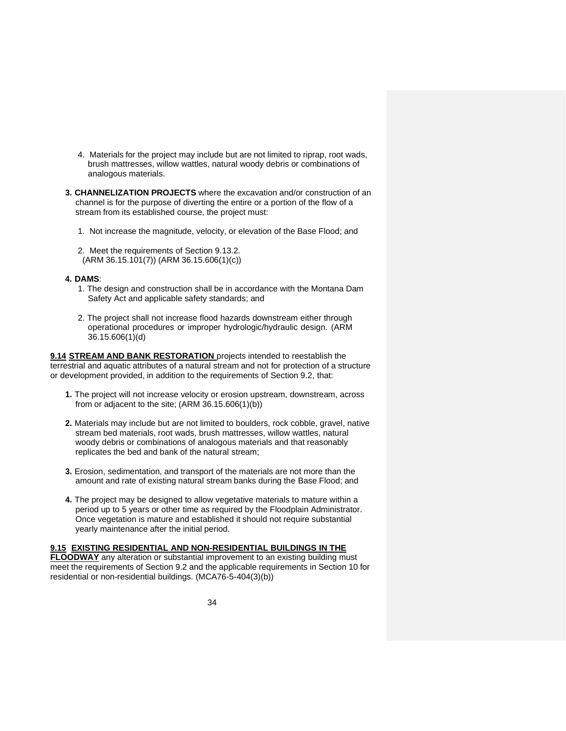- 4. Materials for the project may include but are not limited to riprap, root wads, brush mattresses, willow wattles, natural woody debris or combinations of analogous materials.
- **3. CHANNELIZATION PROJECTS** where the excavation and/or construction of an channel is for the purpose of diverting the entire or a portion of the flow of a stream from its established course, the project must:
	- 1. Not increase the magnitude, velocity, or elevation of the Base Flood; and
	- 2. Meet the requirements of Section 9.13.2. (ARM 36.15.101(7)) (ARM 36.15.606(1)(c))

#### **4. DAMS**:

- 1. The design and construction shall be in accordance with the Montana Dam Safety Act and applicable safety standards; and
- 2. The project shall not increase flood hazards downstream either through operational procedures or improper hydrologic/hydraulic design. (ARM 36.15.606(1)(d)

**9.14 STREAM AND BANK RESTORATION** projects intended to reestablish the terrestrial and aquatic attributes of a natural stream and not for protection of a structure or development provided, in addition to the requirements of Section 9.2, that:

- **1.** The project will not increase velocity or erosion upstream, downstream, across from or adjacent to the site;  $(ARM 36.15.606(1)(b))$
- **2.** Materials may include but are not limited to boulders, rock cobble, gravel, native stream bed materials, root wads, brush mattresses, willow wattles, natural woody debris or combinations of analogous materials and that reasonably replicates the bed and bank of the natural stream;
- **3.** Erosion, sedimentation, and transport of the materials are not more than the amount and rate of existing natural stream banks during the Base Flood; and
- **4.** The project may be designed to allow vegetative materials to mature within a period up to 5 years or other time as required by the Floodplain Administrator. Once vegetation is mature and established it should not require substantial yearly maintenance after the initial period.

#### **9.15 EXISTING RESIDENTIAL AND NON-RESIDENTIAL BUILDINGS IN THE FLOODWAY** any alteration or substantial improvement to an existing building must meet the requirements of Section 9.2 and the applicable requirements in Section 10 for residential or non-residential buildings. (MCA76-5-404(3)(b))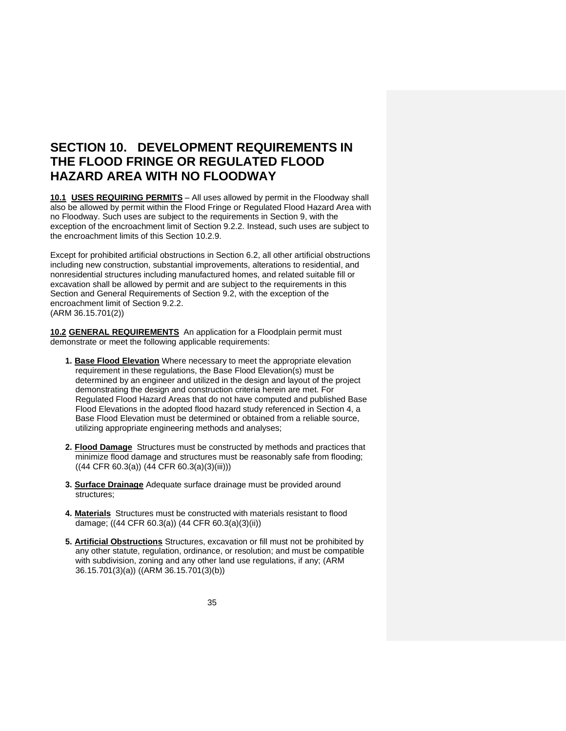## **SECTION 10. DEVELOPMENT REQUIREMENTS IN THE FLOOD FRINGE OR REGULATED FLOOD HAZARD AREA WITH NO FLOODWAY**

**10.1 USES REQUIRING PERMITS** – All uses allowed by permit in the Floodway shall also be allowed by permit within the Flood Fringe or Regulated Flood Hazard Area with no Floodway. Such uses are subject to the requirements in Section 9, with the exception of the encroachment limit of Section 9.2.2. Instead, such uses are subject to the encroachment limits of this Section 10.2.9.

Except for prohibited artificial obstructions in Section 6.2, all other artificial obstructions including new construction, substantial improvements, alterations to residential, and nonresidential structures including manufactured homes, and related suitable fill or excavation shall be allowed by permit and are subject to the requirements in this Section and General Requirements of Section 9.2, with the exception of the encroachment limit of Section 9.2.2. (ARM 36.15.701(2))

**10.2 GENERAL REQUIREMENTS** An application for a Floodplain permit must demonstrate or meet the following applicable requirements:

- **1. Base Flood Elevation** Where necessary to meet the appropriate elevation requirement in these regulations, the Base Flood Elevation(s) must be determined by an engineer and utilized in the design and layout of the project demonstrating the design and construction criteria herein are met. For Regulated Flood Hazard Areas that do not have computed and published Base Flood Elevations in the adopted flood hazard study referenced in Section 4, a Base Flood Elevation must be determined or obtained from a reliable source, utilizing appropriate engineering methods and analyses;
- **2. Flood Damage** Structures must be constructed by methods and practices that minimize flood damage and structures must be reasonably safe from flooding;  $((44 \text{ CFR } 60.3(a))$   $(44 \text{ CFR } 60.3(a)(3)(iii)))$
- **3. Surface Drainage** Adequate surface drainage must be provided around structures;
- **4. Materials** Structures must be constructed with materials resistant to flood damage; ((44 CFR 60.3(a)) (44 CFR 60.3(a)(3)(ii))
- **5. Artificial Obstructions** Structures, excavation or fill must not be prohibited by any other statute, regulation, ordinance, or resolution; and must be compatible with subdivision, zoning and any other land use regulations, if any: (ARM 36.15.701(3)(a)) ((ARM 36.15.701(3)(b))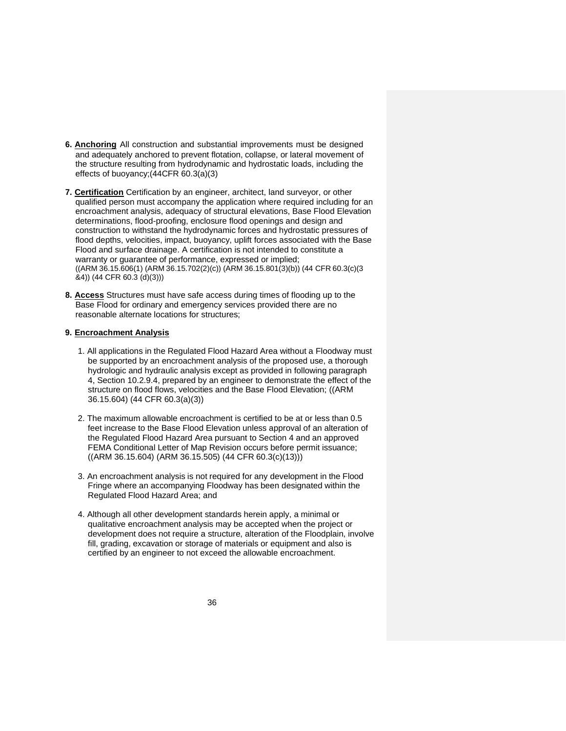- **6. Anchoring** All construction and substantial improvements must be designed and adequately anchored to prevent flotation, collapse, or lateral movement of the structure resulting from hydrodynamic and hydrostatic loads, including the effects of buoyancy;(44CFR 60.3(a)(3)
- **7. Certification** Certification by an engineer, architect, land surveyor, or other qualified person must accompany the application where required including for an encroachment analysis, adequacy of structural elevations, Base Flood Elevation determinations, flood-proofing, enclosure flood openings and design and construction to withstand the hydrodynamic forces and hydrostatic pressures of flood depths, velocities, impact, buoyancy, uplift forces associated with the Base Flood and surface drainage. A certification is not intended to constitute a warranty or guarantee of performance, expressed or implied; ((ARM 36.15.606(1) (ARM 36.15.702(2)(c)) (ARM 36.15.801(3)(b)) (44 CFR 60.3(c)(3 &4)) (44 CFR 60.3 (d)(3)))
- **8. Access** Structures must have safe access during times of flooding up to the Base Flood for ordinary and emergency services provided there are no reasonable alternate locations for structures;

#### **9. Encroachment Analysis**

- 1. All applications in the Regulated Flood Hazard Area without a Floodway must be supported by an encroachment analysis of the proposed use, a thorough hydrologic and hydraulic analysis except as provided in following paragraph 4, Section 10.2.9.4, prepared by an engineer to demonstrate the effect of the structure on flood flows, velocities and the Base Flood Elevation; ((ARM 36.15.604) (44 CFR 60.3(a)(3))
- 2. The maximum allowable encroachment is certified to be at or less than 0.5 feet increase to the Base Flood Elevation unless approval of an alteration of the Regulated Flood Hazard Area pursuant to Section 4 and an approved FEMA Conditional Letter of Map Revision occurs before permit issuance;  $((ARM 36.15.604) (ARM 36.15.505) (44 CFR 60.3(c)(13)))$
- 3. An encroachment analysis is not required for any development in the Flood Fringe where an accompanying Floodway has been designated within the Regulated Flood Hazard Area; and
- 4. Although all other development standards herein apply, a minimal or qualitative encroachment analysis may be accepted when the project or development does not require a structure, alteration of the Floodplain, involve fill, grading, excavation or storage of materials or equipment and also is certified by an engineer to not exceed the allowable encroachment.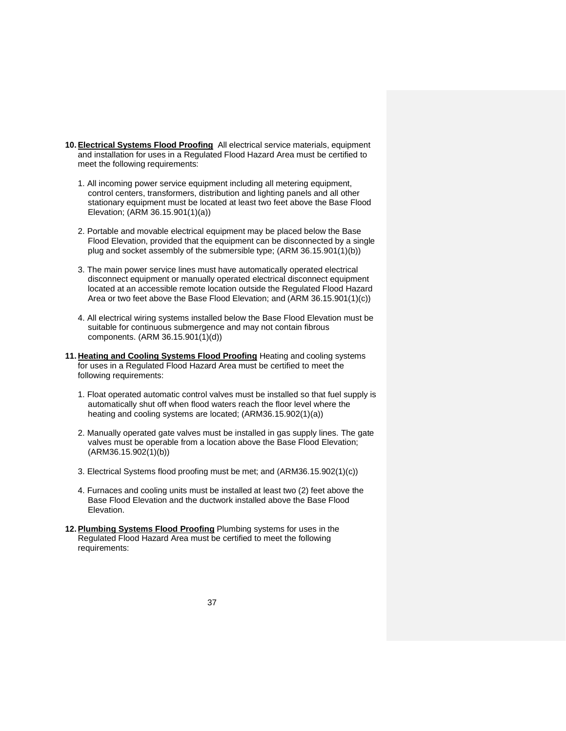- **10.Electrical Systems Flood Proofing** All electrical service materials, equipment and installation for uses in a Regulated Flood Hazard Area must be certified to meet the following requirements:
	- 1. All incoming power service equipment including all metering equipment, control centers, transformers, distribution and lighting panels and all other stationary equipment must be located at least two feet above the Base Flood Elevation; (ARM 36.15.901(1)(a))
	- 2. Portable and movable electrical equipment may be placed below the Base Flood Elevation, provided that the equipment can be disconnected by a single plug and socket assembly of the submersible type; (ARM 36.15.901(1)(b))
	- 3. The main power service lines must have automatically operated electrical disconnect equipment or manually operated electrical disconnect equipment located at an accessible remote location outside the Regulated Flood Hazard Area or two feet above the Base Flood Elevation; and (ARM 36.15.901(1)(c))
	- 4. All electrical wiring systems installed below the Base Flood Elevation must be suitable for continuous submergence and may not contain fibrous components. (ARM 36.15.901(1)(d))
- **11. Heating and Cooling Systems Flood Proofing** Heating and cooling systems for uses in a Regulated Flood Hazard Area must be certified to meet the following requirements:
	- 1. Float operated automatic control valves must be installed so that fuel supply is automatically shut off when flood waters reach the floor level where the heating and cooling systems are located; (ARM36.15.902(1)(a))
	- 2. Manually operated gate valves must be installed in gas supply lines. The gate valves must be operable from a location above the Base Flood Elevation; (ARM36.15.902(1)(b))
	- 3. Electrical Systems flood proofing must be met; and (ARM36.15.902(1)(c))
	- 4. Furnaces and cooling units must be installed at least two (2) feet above the Base Flood Elevation and the ductwork installed above the Base Flood Elevation.
- 12. Plumbing Systems Flood Proofing Plumbing systems for uses in the Regulated Flood Hazard Area must be certified to meet the following requirements: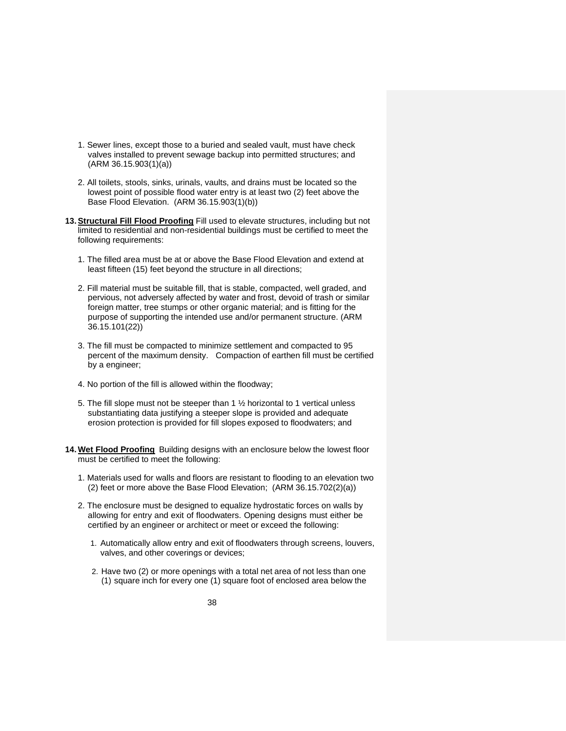- 1. Sewer lines, except those to a buried and sealed vault, must have check valves installed to prevent sewage backup into permitted structures; and (ARM 36.15.903(1)(a))
- 2. All toilets, stools, sinks, urinals, vaults, and drains must be located so the lowest point of possible flood water entry is at least two (2) feet above the Base Flood Elevation. (ARM 36.15.903(1)(b))
- **13.Structural Fill Flood Proofing** Fill used to elevate structures, including but not limited to residential and non-residential buildings must be certified to meet the following requirements:
	- 1. The filled area must be at or above the Base Flood Elevation and extend at least fifteen (15) feet beyond the structure in all directions;
	- 2. Fill material must be suitable fill, that is stable, compacted, well graded, and pervious, not adversely affected by water and frost, devoid of trash or similar foreign matter, tree stumps or other organic material; and is fitting for the purpose of supporting the intended use and/or permanent structure. (ARM 36.15.101(22))
	- 3. The fill must be compacted to minimize settlement and compacted to 95 percent of the maximum density. Compaction of earthen fill must be certified by a engineer;
	- 4. No portion of the fill is allowed within the floodway;
	- 5. The fill slope must not be steeper than 1 ½ horizontal to 1 vertical unless substantiating data justifying a steeper slope is provided and adequate erosion protection is provided for fill slopes exposed to floodwaters; and
- **14. Wet Flood Proofing** Building designs with an enclosure below the lowest floor must be certified to meet the following:
	- 1. Materials used for walls and floors are resistant to flooding to an elevation two (2) feet or more above the Base Flood Elevation; (ARM 36.15.702(2)(a))
	- 2. The enclosure must be designed to equalize hydrostatic forces on walls by allowing for entry and exit of floodwaters. Opening designs must either be certified by an engineer or architect or meet or exceed the following:
		- 1. Automatically allow entry and exit of floodwaters through screens, louvers, valves, and other coverings or devices;
		- 2. Have two (2) or more openings with a total net area of not less than one (1) square inch for every one (1) square foot of enclosed area below the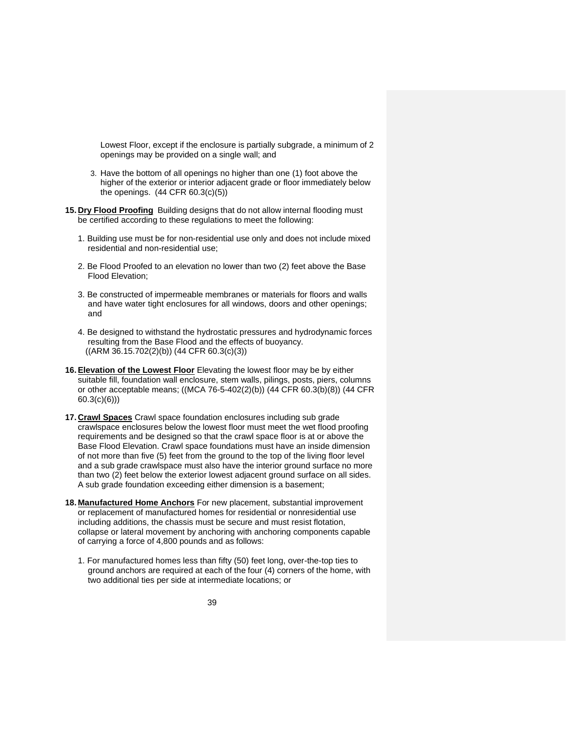Lowest Floor, except if the enclosure is partially subgrade, a minimum of 2 openings may be provided on a single wall; and

- 3. Have the bottom of all openings no higher than one (1) foot above the higher of the exterior or interior adjacent grade or floor immediately below the openings. (44 CFR 60.3(c)(5))
- **15. Dry Flood Proofing** Building designs that do not allow internal flooding must be certified according to these regulations to meet the following:
	- 1. Building use must be for non-residential use only and does not include mixed residential and non-residential use;
	- 2. Be Flood Proofed to an elevation no lower than two (2) feet above the Base Flood Elevation;
	- 3. Be constructed of impermeable membranes or materials for floors and walls and have water tight enclosures for all windows, doors and other openings; and
	- 4. Be designed to withstand the hydrostatic pressures and hydrodynamic forces resulting from the Base Flood and the effects of buoyancy. ((ARM 36.15.702(2)(b)) (44 CFR 60.3(c)(3))
- **16.Elevation of the Lowest Floor** Elevating the lowest floor may be by either suitable fill, foundation wall enclosure, stem walls, pilings, posts, piers, columns or other acceptable means; ((MCA 76-5-402(2)(b)) (44 CFR 60.3(b)(8)) (44 CFR 60.3(c)(6)))
- **17. Crawl Spaces** Crawl space foundation enclosures including sub grade crawlspace enclosures below the lowest floor must meet the wet flood proofing requirements and be designed so that the crawl space floor is at or above the Base Flood Elevation. Crawl space foundations must have an inside dimension of not more than five (5) feet from the ground to the top of the living floor level and a sub grade crawlspace must also have the interior ground surface no more than two (2) feet below the exterior lowest adjacent ground surface on all sides. A sub grade foundation exceeding either dimension is a basement;
- **18. Manufactured Home Anchors** For new placement, substantial improvement or replacement of manufactured homes for residential or nonresidential use including additions, the chassis must be secure and must resist flotation, collapse or lateral movement by anchoring with anchoring components capable of carrying a force of 4,800 pounds and as follows:
	- 1. For manufactured homes less than fifty (50) feet long, over-the-top ties to ground anchors are required at each of the four (4) corners of the home, with two additional ties per side at intermediate locations; or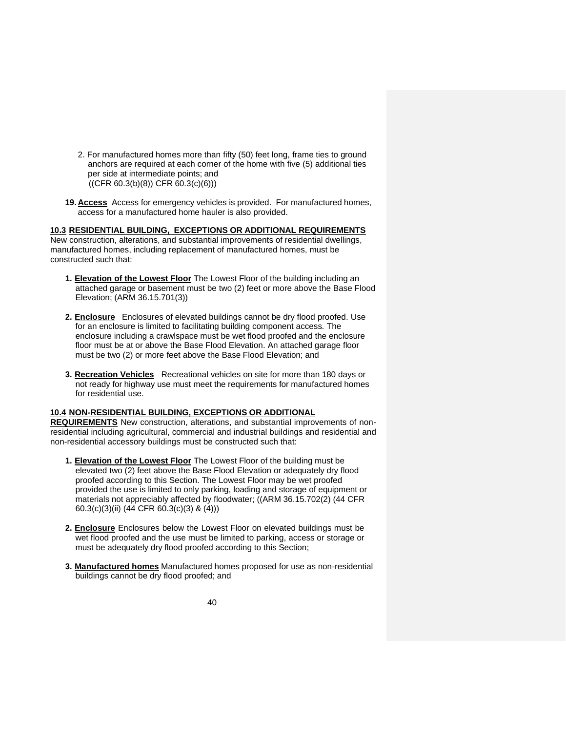- 2. For manufactured homes more than fifty (50) feet long, frame ties to ground anchors are required at each corner of the home with five (5) additional ties per side at intermediate points; and  $((CFR 60.3(b)(8)) CFR 60.3(c)(6)))$
- **19. Access** Access for emergency vehicles is provided. For manufactured homes, access for a manufactured home hauler is also provided.

#### **10.3 RESIDENTIAL BUILDING, EXCEPTIONS OR ADDITIONAL REQUIREMENTS**

New construction, alterations, and substantial improvements of residential dwellings, manufactured homes, including replacement of manufactured homes, must be constructed such that:

- **1. Elevation of the Lowest Floor** The Lowest Floor of the building including an attached garage or basement must be two (2) feet or more above the Base Flood Elevation; (ARM 36.15.701(3))
- **2. Enclosure** Enclosures of elevated buildings cannot be dry flood proofed. Use for an enclosure is limited to facilitating building component access. The enclosure including a crawlspace must be wet flood proofed and the enclosure floor must be at or above the Base Flood Elevation. An attached garage floor must be two (2) or more feet above the Base Flood Elevation; and
- **3. Recreation Vehicles** Recreational vehicles on site for more than 180 days or not ready for highway use must meet the requirements for manufactured homes for residential use.

#### **10.4 NON-RESIDENTIAL BUILDING, EXCEPTIONS OR ADDITIONAL**

**REQUIREMENTS** New construction, alterations, and substantial improvements of nonresidential including agricultural, commercial and industrial buildings and residential and non-residential accessory buildings must be constructed such that:

- **1. Elevation of the Lowest Floor** The Lowest Floor of the building must be elevated two (2) feet above the Base Flood Elevation or adequately dry flood proofed according to this Section. The Lowest Floor may be wet proofed provided the use is limited to only parking, loading and storage of equipment or materials not appreciably affected by floodwater; ((ARM 36.15.702(2) (44 CFR 60.3(c)(3)(ii) (44 CFR 60.3(c)(3) & (4)))
- **2. Enclosure** Enclosures below the Lowest Floor on elevated buildings must be wet flood proofed and the use must be limited to parking, access or storage or must be adequately dry flood proofed according to this Section;
- **3. Manufactured homes** Manufactured homes proposed for use as non-residential buildings cannot be dry flood proofed; and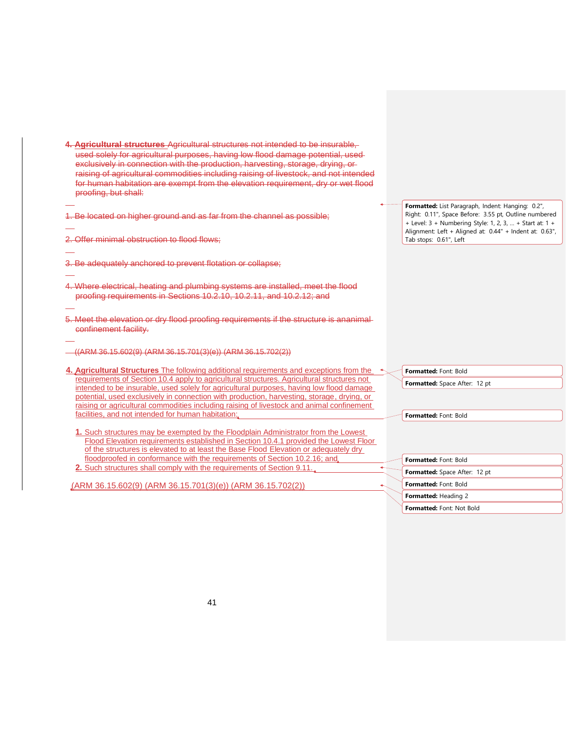**4. Agricultural structures** Agricultural structures not intended to be insurable, used solely for agricultural purposes, having low flood damage potential, used exclusively in connection with the production, harvesting, storage, drying, or raising of agricultural commodities including raising of livestock, and not intended for human habitation are exempt from the elevation requirement, dry or wet flood proofing, but shall:

1. Be located on higher ground and as far from the channel as possible;

2. Offer minimal obstruction to flood flows;

- 3. Be adequately anchored to prevent flotation or collapse;
- 4. Where electrical, heating and plumbing systems are installed, meet the flood proofing requirements in Sections 10.2.10, 10.2.11, and 10.2.12; and
- 5. Meet the elevation or dry flood proofing requirements if the structure is ananimal confinement facility.
- ((ARM 36.15.602(9) (ARM 36.15.701(3)(e)) (ARM 36.15.702(2))
- **4. Agricultural Structures** The following additional requirements and exceptions from the requirements of Section 10.4 apply to agricultural structures. Agricultural structures not intended to be insurable, used solely for agricultural purposes, having low flood damage potential, used exclusively in connection with production, harvesting, storage, drying, or raising or agricultural commodities including raising of livestock and animal confinement facilities, and not intended for human habitation:
	- **1.** Such structures may be exempted by the Floodplain Administrator from the Lowest Flood Elevation requirements established in Section 10.4.1 provided the Lowest Floor of the structures is elevated to at least the Base Flood Elevation or adequately dry floodproofed in conformance with the requirements of Section 10.2.16; and **2.** Such structures shall comply with the requirements of Section 9.11.

(ARM 36.15.602(9) (ARM 36.15.701(3)(e)) (ARM 36.15.702(2))

**Formatted:** List Paragraph, Indent: Hanging: 0.2", Right: 0.11", Space Before: 3.55 pt, Outline numbered + Level: 3 + Numbering Style: 1, 2, 3, … + Start at: 1 + Alignment: Left + Aligned at: 0.44" + Indent at: 0.63", Tab stops: 0.61", Left

**Formatted:** Font: Bold

**Formatted:** Space After: 12 pt

**Formatted:** Font: Bold

| <b>Formatted: Font: Bold</b>         |
|--------------------------------------|
| <b>Formatted:</b> Space After: 12 pt |
| Formatted: Font: Bold                |
| Formatted: Heading 2                 |
| Formatted: Font: Not Bold            |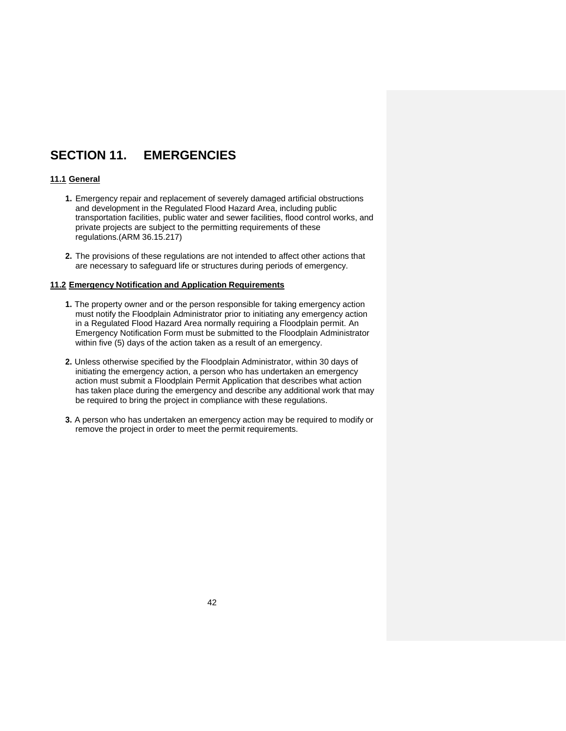## **SECTION 11. EMERGENCIES**

#### **11.1 General**

- **1.** Emergency repair and replacement of severely damaged artificial obstructions and development in the Regulated Flood Hazard Area, including public transportation facilities, public water and sewer facilities, flood control works, and private projects are subject to the permitting requirements of these regulations.(ARM 36.15.217)
- **2.** The provisions of these regulations are not intended to affect other actions that are necessary to safeguard life or structures during periods of emergency.

#### **11.2 Emergency Notification and Application Requirements**

- **1.** The property owner and or the person responsible for taking emergency action must notify the Floodplain Administrator prior to initiating any emergency action in a Regulated Flood Hazard Area normally requiring a Floodplain permit. An Emergency Notification Form must be submitted to the Floodplain Administrator within five (5) days of the action taken as a result of an emergency.
- **2.** Unless otherwise specified by the Floodplain Administrator, within 30 days of initiating the emergency action, a person who has undertaken an emergency action must submit a Floodplain Permit Application that describes what action has taken place during the emergency and describe any additional work that may be required to bring the project in compliance with these regulations.
- **3.** A person who has undertaken an emergency action may be required to modify or remove the project in order to meet the permit requirements.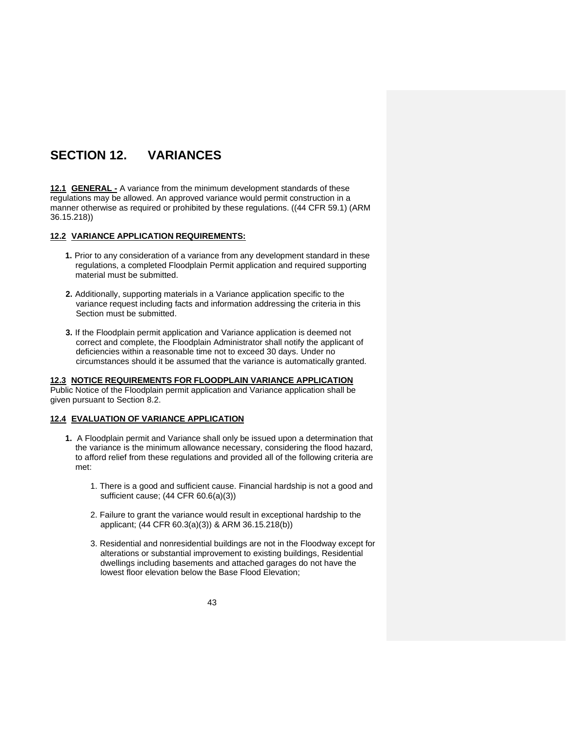# <span id="page-47-0"></span>**SECTION 12. VARIANCES**

<span id="page-47-1"></span>**12.1 GENERAL -** A variance from the minimum development standards of these regulations may be allowed. An approved variance would permit construction in a manner otherwise as required or prohibited by these regulations. ((44 CFR 59.1) (ARM 36.15.218))

### <span id="page-47-2"></span>**12.2 VARIANCE APPLICATION REQUIREMENTS:**

- **1.** Prior to any consideration of a variance from any development standard in these regulations, a completed Floodplain Permit application and required supporting material must be submitted.
- **2.** Additionally, supporting materials in a Variance application specific to the variance request including facts and information addressing the criteria in this Section must be submitted.
- **3.** If the Floodplain permit application and Variance application is deemed not correct and complete, the Floodplain Administrator shall notify the applicant of deficiencies within a reasonable time not to exceed 30 days. Under no circumstances should it be assumed that the variance is automatically granted.

#### <span id="page-47-3"></span>**12.3 NOTICE REQUIREMENTS FOR FLOODPLAIN VARIANCE APPLICATION**

Public Notice of the Floodplain permit application and Variance application shall be given pursuant to Section 8.2.

#### <span id="page-47-4"></span>**12.4 EVALUATION OF VARIANCE APPLICATION**

- **1.** A Floodplain permit and Variance shall only be issued upon a determination that the variance is the minimum allowance necessary, considering the flood hazard, to afford relief from these regulations and provided all of the following criteria are met:
	- 1. There is a good and sufficient cause. Financial hardship is not a good and sufficient cause; (44 CFR 60.6(a)(3))
	- 2. Failure to grant the variance would result in exceptional hardship to the applicant; (44 CFR 60.3(a)(3)) & ARM 36.15.218(b))
	- 3. Residential and nonresidential buildings are not in the Floodway except for alterations or substantial improvement to existing buildings, Residential dwellings including basements and attached garages do not have the lowest floor elevation below the Base Flood Elevation;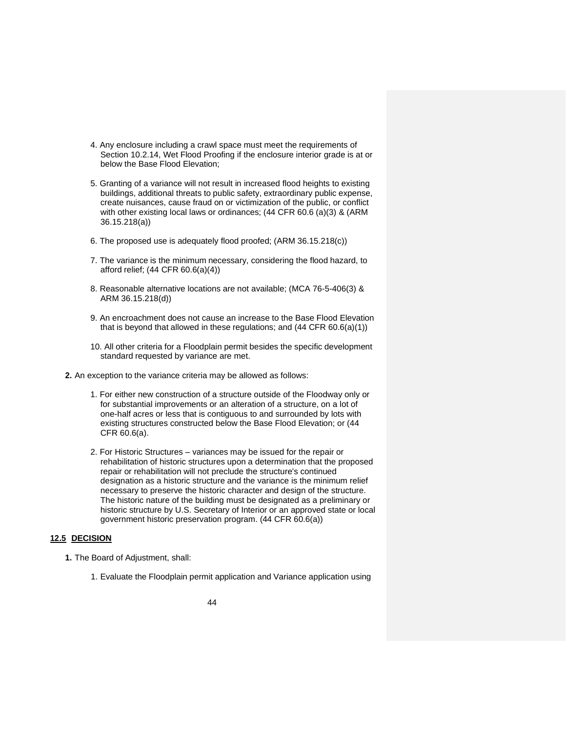- 4. Any enclosure including a crawl space must meet the requirements of Section 10.2.14, Wet Flood Proofing if the enclosure interior grade is at or below the Base Flood Elevation;
- 5. Granting of a variance will not result in increased flood heights to existing buildings, additional threats to public safety, extraordinary public expense, create nuisances, cause fraud on or victimization of the public, or conflict with other existing local laws or ordinances; (44 CFR 60.6 (a)(3) & (ARM 36.15.218(a))
- 6. The proposed use is adequately flood proofed; (ARM 36.15.218(c))
- 7. The variance is the minimum necessary, considering the flood hazard, to afford relief; (44 CFR 60.6(a)(4))
- 8. Reasonable alternative locations are not available; (MCA 76-5-406(3) & ARM 36.15.218(d))
- 9. An encroachment does not cause an increase to the Base Flood Elevation that is beyond that allowed in these regulations; and (44 CFR 60.6(a)(1))
- 10. All other criteria for a Floodplain permit besides the specific development standard requested by variance are met.
- **2.** An exception to the variance criteria may be allowed as follows:
	- 1. For either new construction of a structure outside of the Floodway only or for substantial improvements or an alteration of a structure, on a lot of one-half acres or less that is contiguous to and surrounded by lots with existing structures constructed below the Base Flood Elevation; or (44 CFR 60.6(a).
	- 2. For Historic Structures variances may be issued for the repair or rehabilitation of historic structures upon a determination that the proposed repair or rehabilitation will not preclude the structure's continued designation as a historic structure and the variance is the minimum relief necessary to preserve the historic character and design of the structure. The historic nature of the building must be designated as a preliminary or historic structure by U.S. Secretary of Interior or an approved state or local government historic preservation program. (44 CFR 60.6(a))

### <span id="page-48-0"></span>**12.5 DECISION**

- **1.** The Board of Adjustment, shall:
	- 1. Evaluate the Floodplain permit application and Variance application using